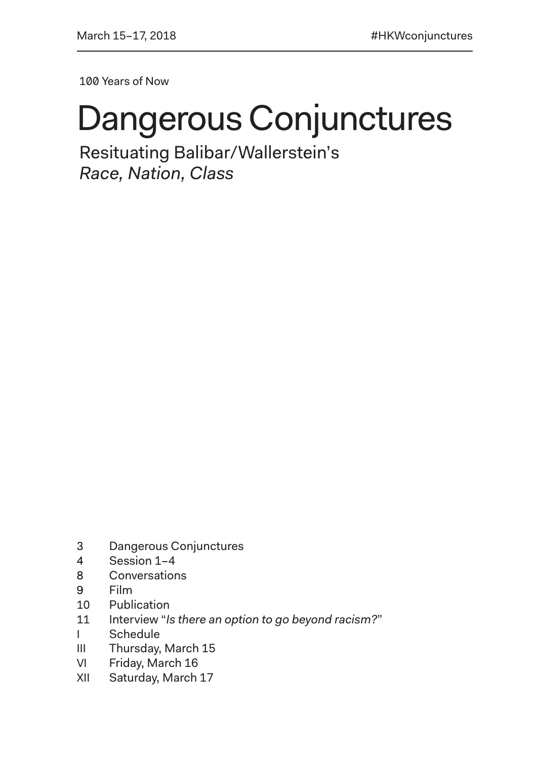100 Years of Now

# Dangerous Conjunctures

Resituating Balibar/Wallerstein's *Race, Nation, Class*

- 3 Dangerous Conjunctures
- 4 Session 1–4
- 8 Conversations
- 9 Film
- 10 Publication
- 11 Interview "*Is there an option to go beyond racism?*"
- I Schedule
- III Thursday, March 15
- VI Friday, March 16
- XII Saturday, March 17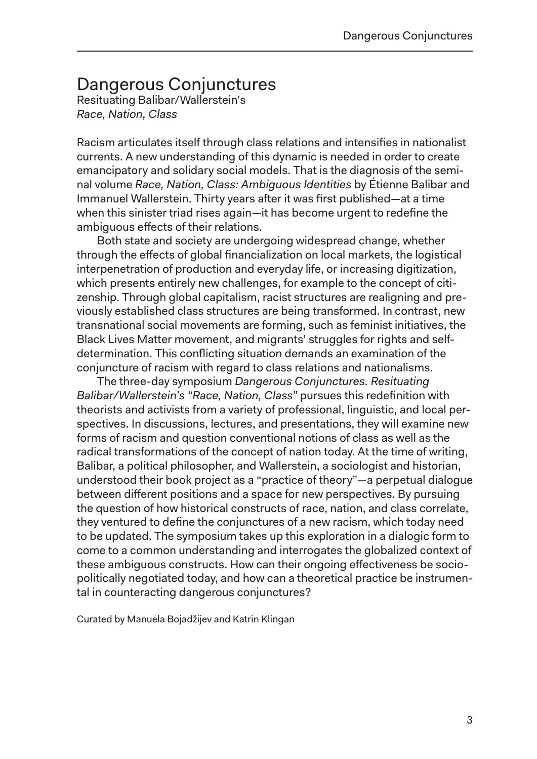## Dangerous Conjunctures

Resituating Balibar/Wallerstein's *Race, Nation, Class*

Racism articulates itself through class relations and intensifies in nationalist currents. A new understanding of this dynamic is needed in order to create emancipatory and solidary social models. That is the diagnosis of the seminal volume *Race, Nation, Class: Ambiguous Identities* by Étienne Balibar and Immanuel Wallerstein. Thirty years after it was first published—at a time when this sinister triad rises again—it has become urgent to redefine the ambiguous effects of their relations.

Both state and society are undergoing widespread change, whether through the effects of global financialization on local markets, the logistical interpenetration of production and everyday life, or increasing digitization, which presents entirely new challenges, for example to the concept of citizenship. Through global capitalism, racist structures are realigning and previously established class structures are being transformed. In contrast, new transnational social movements are forming, such as feminist initiatives, the Black Lives Matter movement, and migrants' struggles for rights and selfdetermination. This conflicting situation demands an examination of the conjuncture of racism with regard to class relations and nationalisms.

The three-day symposium *Dangerous Conjunctures. Resituating Balibar/Wallerstein's "Race, Nation, Class"* pursues this redefinition with theorists and activists from a variety of professional, linguistic, and local perspectives. In discussions, lectures, and presentations, they will examine new forms of racism and question conventional notions of class as well as the radical transformations of the concept of nation today. At the time of writing, Balibar, a political philosopher, and Wallerstein, a sociologist and historian, understood their book project as a "practice of theory"—a perpetual dialogue between different positions and a space for new perspectives. By pursuing the question of how historical constructs of race, nation, and class correlate, they ventured to define the conjunctures of a new racism, which today need to be updated. The symposium takes up this exploration in a dialogic form to come to a common understanding and interrogates the globalized context of these ambiguous constructs. How can their ongoing effectiveness be sociopolitically negotiated today, and how can a theoretical practice be instrumental in counteracting dangerous conjunctures?

Curated by Manuela Bojadžijev and Katrin Klingan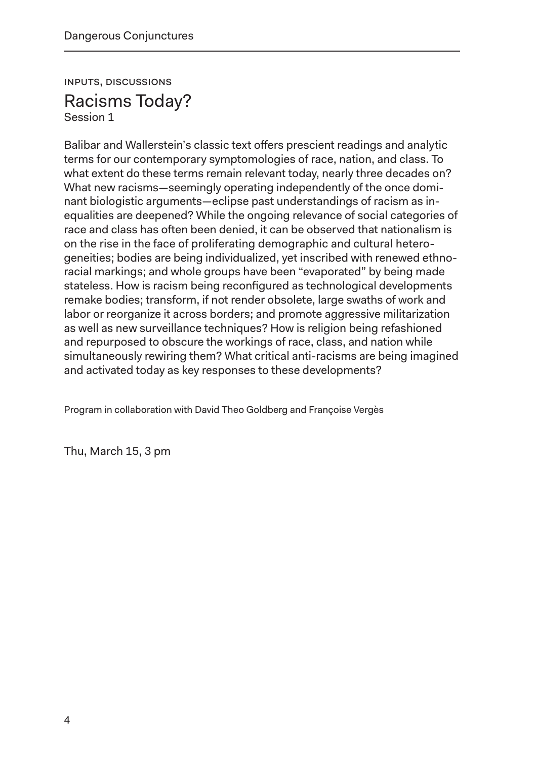Inputs, Discussions Racisms Today?

Session 1

Balibar and Wallerstein's classic text offers prescient readings and analytic terms for our contemporary symptomologies of race, nation, and class. To what extent do these terms remain relevant today, nearly three decades on? What new racisms—seemingly operating independently of the once dominant biologistic arguments—eclipse past understandings of racism as inequalities are deepened? While the ongoing relevance of social categories of race and class has often been denied, it can be observed that nationalism is on the rise in the face of proliferating demographic and cultural heterogeneities; bodies are being individualized, yet inscribed with renewed ethnoracial markings; and whole groups have been "evaporated" by being made stateless. How is racism being reconfigured as technological developments remake bodies; transform, if not render obsolete, large swaths of work and labor or reorganize it across borders; and promote aggressive militarization as well as new surveillance techniques? How is religion being refashioned and repurposed to obscure the workings of race, class, and nation while simultaneously rewiring them? What critical anti-racisms are being imagined and activated today as key responses to these developments?

Program in collaboration with David Theo Goldberg and Françoise Vergès

Thu, March 15, 3 pm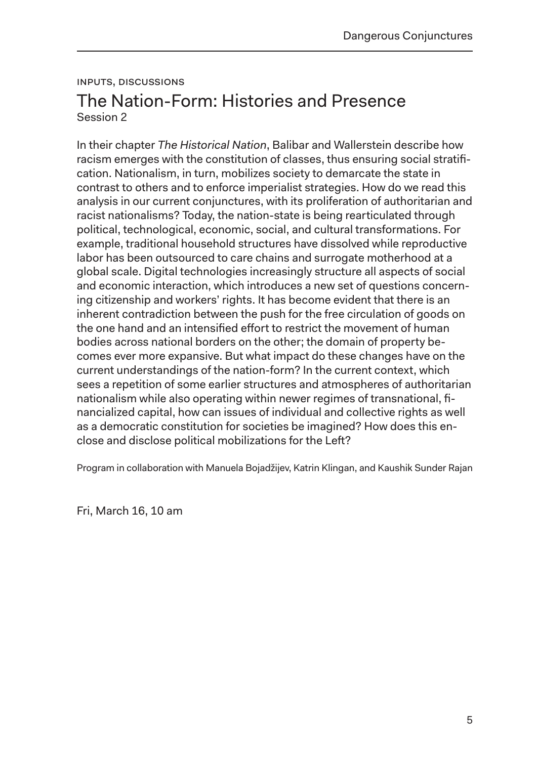## Inputs, Discussions The Nation-Form: Histories and Presence Session 2

In their chapter *The Historical Nation*, Balibar and Wallerstein describe how racism emerges with the constitution of classes, thus ensuring social stratification. Nationalism, in turn, mobilizes society to demarcate the state in contrast to others and to enforce imperialist strategies. How do we read this analysis in our current conjunctures, with its proliferation of authoritarian and racist nationalisms? Today, the nation-state is being rearticulated through political, technological, economic, social, and cultural transformations. For example, traditional household structures have dissolved while reproductive labor has been outsourced to care chains and surrogate motherhood at a global scale. Digital technologies increasingly structure all aspects of social and economic interaction, which introduces a new set of questions concerning citizenship and workers' rights. It has become evident that there is an inherent contradiction between the push for the free circulation of goods on the one hand and an intensified effort to restrict the movement of human bodies across national borders on the other; the domain of property becomes ever more expansive. But what impact do these changes have on the current understandings of the nation-form? In the current context, which sees a repetition of some earlier structures and atmospheres of authoritarian nationalism while also operating within newer regimes of transnational, financialized capital, how can issues of individual and collective rights as well as a democratic constitution for societies be imagined? How does this enclose and disclose political mobilizations for the Left?

Program in collaboration with Manuela Bojadžijev, Katrin Klingan, and Kaushik Sunder Rajan

Fri, March 16, 10 am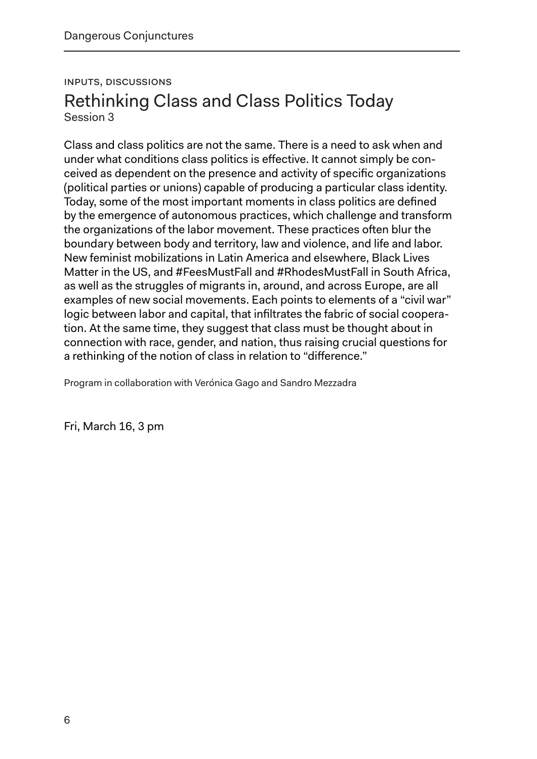### Inputs, Discussions Rethinking Class and Class Politics Today Session 3

Class and class politics are not the same. There is a need to ask when and under what conditions class politics is effective. It cannot simply be conceived as dependent on the presence and activity of specific organizations (political parties or unions) capable of producing a particular class identity. Today, some of the most important moments in class politics are defined by the emergence of autonomous practices, which challenge and transform the organizations of the labor movement. These practices often blur the boundary between body and territory, law and violence, and life and labor. New feminist mobilizations in Latin America and elsewhere, Black Lives Matter in the US, and #FeesMustFall and #RhodesMustFall in South Africa, as well as the struggles of migrants in, around, and across Europe, are all examples of new social movements. Each points to elements of a "civil war" logic between labor and capital, that infiltrates the fabric of social cooperation. At the same time, they suggest that class must be thought about in connection with race, gender, and nation, thus raising crucial questions for a rethinking of the notion of class in relation to "difference."

Program in collaboration with Verónica Gago and Sandro Mezzadra

Fri, March 16, 3 pm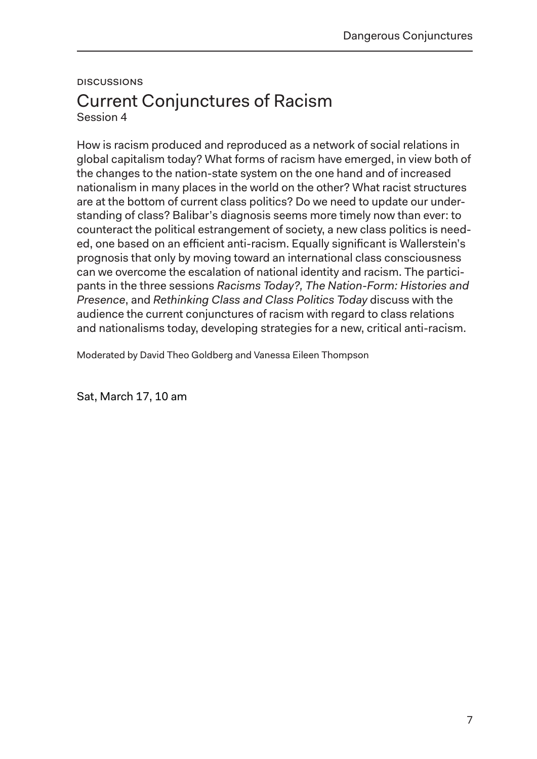#### **DISCUSSIONS**

### Current Conjunctures of Racism Session 4

How is racism produced and reproduced as a network of social relations in global capitalism today? What forms of racism have emerged, in view both of the changes to the nation-state system on the one hand and of increased nationalism in many places in the world on the other? What racist structures are at the bottom of current class politics? Do we need to update our understanding of class? Balibar's diagnosis seems more timely now than ever: to counteract the political estrangement of society, a new class politics is needed, one based on an efficient anti-racism. Equally significant is Wallerstein's prognosis that only by moving toward an international class consciousness can we overcome the escalation of national identity and racism. The participants in the three sessions *Racisms Today?, The Nation-Form: Histories and Presence*, and *Rethinking Class and Class Politics Today* discuss with the audience the current conjunctures of racism with regard to class relations and nationalisms today, developing strategies for a new, critical anti-racism.

Moderated by David Theo Goldberg and Vanessa Eileen Thompson

Sat, March 17, 10 am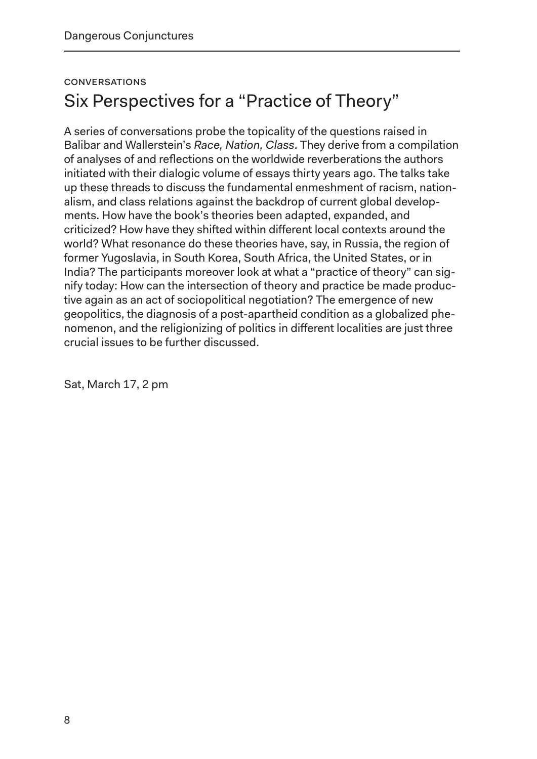## **CONVERSATIONS** Six Perspectives for a "Practice of Theory"

A series of conversations probe the topicality of the questions raised in Balibar and Wallerstein's *Race, Nation, Class*. They derive from a compilation of analyses of and reflections on the worldwide reverberations the authors initiated with their dialogic volume of essays thirty years ago. The talks take up these threads to discuss the fundamental enmeshment of racism, nationalism, and class relations against the backdrop of current global developments. How have the book's theories been adapted, expanded, and criticized? How have they shifted within different local contexts around the world? What resonance do these theories have, say, in Russia, the region of former Yugoslavia, in South Korea, South Africa, the United States, or in India? The participants moreover look at what a "practice of theory" can signify today: How can the intersection of theory and practice be made productive again as an act of sociopolitical negotiation? The emergence of new geopolitics, the diagnosis of a post-apartheid condition as a globalized phenomenon, and the religionizing of politics in different localities are just three crucial issues to be further discussed.

Sat, March 17, 2 pm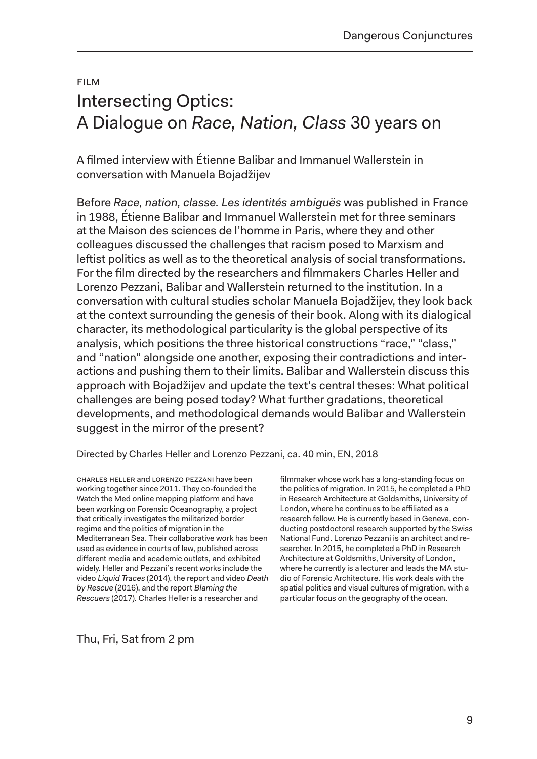## Film Intersecting Optics: A Dialogue on *Race, Nation, Class* 30 years on

A filmed interview with Étienne Balibar and Immanuel Wallerstein in conversation with Manuela Bojadžijev

Before *Race, nation, classe. Les identités ambiguës* was published in France in 1988, Étienne Balibar and Immanuel Wallerstein met for three seminars at the Maison des sciences de l'homme in Paris, where they and other colleagues discussed the challenges that racism posed to Marxism and leftist politics as well as to the theoretical analysis of social transformations. For the film directed by the researchers and filmmakers Charles Heller and Lorenzo Pezzani, Balibar and Wallerstein returned to the institution. In a conversation with cultural studies scholar Manuela Bojadžijev, they look back at the context surrounding the genesis of their book. Along with its dialogical character, its methodological particularity is the global perspective of its analysis, which positions the three historical constructions "race," "class," and "nation" alongside one another, exposing their contradictions and interactions and pushing them to their limits. Balibar and Wallerstein discuss this approach with Bojadžijev and update the text's central theses: What political challenges are being posed today? What further gradations, theoretical developments, and methodological demands would Balibar and Wallerstein suggest in the mirror of the present?

Directed by Charles Heller and Lorenzo Pezzani, ca. 40 min, EN, 2018

Charles Heller and Lorenzo Pezzani have been working together since 2011. They co-founded the Watch the Med online mapping platform and have been working on Forensic Oceanography, a project that critically investigates the militarized border regime and the politics of migration in the Mediterranean Sea. Their collaborative work has been used as evidence in courts of law, published across different media and academic outlets, and exhibited widely. Heller and Pezzani's recent works include the video *Liquid Traces* (2014), the report and video *Death by Rescue* (2016), and the report *Blaming the Rescuers* (2017). Charles Heller is a researcher and

filmmaker whose work has a long-standing focus on the politics of migration. In 2015, he completed a PhD in Research Architecture at Goldsmiths, University of London, where he continues to be affiliated as a research fellow. He is currently based in Geneva, conducting postdoctoral research supported by the Swiss National Fund. Lorenzo Pezzani is an architect and researcher. In 2015, he completed a PhD in Research Architecture at Goldsmiths, University of London, where he currently is a lecturer and leads the MA studio of Forensic Architecture. His work deals with the spatial politics and visual cultures of migration, with a particular focus on the geography of the ocean.

Thu, Fri, Sat from 2 pm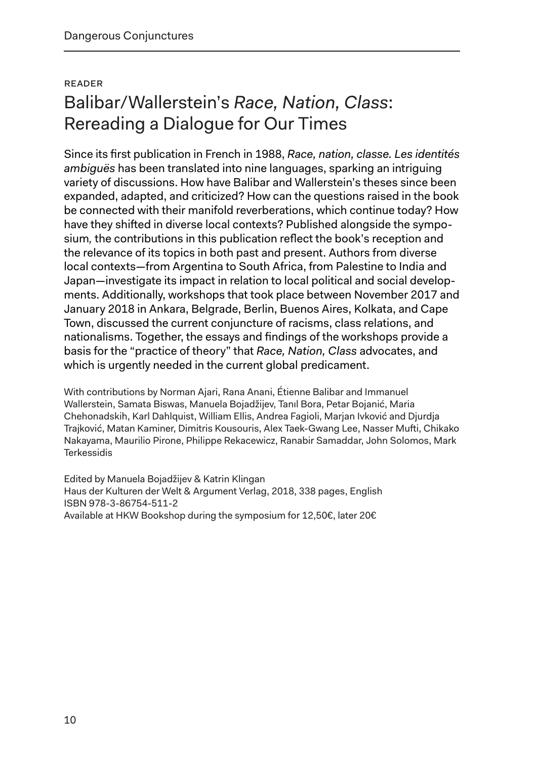## Reader Balibar/Wallerstein's *Race, Nation, Class*: Rereading a Dialogue for Our Times

Since its first publication in French in 1988, *Race, nation, classe. Les identités ambiguës* has been translated into nine languages, sparking an intriguing variety of discussions. How have Balibar and Wallerstein's theses since been expanded, adapted, and criticized? How can the questions raised in the book be connected with their manifold reverberations, which continue today? How have they shifted in diverse local contexts? Published alongside the symposium*,* the contributions in this publication reflect the book's reception and the relevance of its topics in both past and present. Authors from diverse local contexts—from Argentina to South Africa, from Palestine to India and Japan—investigate its impact in relation to local political and social developments. Additionally, workshops that took place between November 2017 and January 2018 in Ankara, Belgrade, Berlin, Buenos Aires, Kolkata, and Cape Town, discussed the current conjuncture of racisms, class relations, and nationalisms. Together, the essays and findings of the workshops provide a basis for the "practice of theory" that *Race, Nation, Class* advocates, and which is urgently needed in the current global predicament.

With contributions by Norman Ajari, Rana Anani, Étienne Balibar and Immanuel Wallerstein, Samata Biswas, Manuela Bojadžijev, Tanıl Bora, Petar Bojanić, Maria Chehonadskih, Karl Dahlquist, William Ellis, Andrea Fagioli, Marjan Ivković and Djurdja Trajković, Matan Kaminer, Dimitris Kousouris, Alex Taek-Gwang Lee, Nasser Mufti, Chikako Nakayama, Maurilio Pirone, Philippe Rekacewicz, Ranabir Samaddar, John Solomos, Mark **Terkessidis** 

Edited by Manuela Bojadžijev & Katrin Klingan Haus der Kulturen der Welt & Argument Verlag, 2018, 338 pages, English ISBN 978-3-86754-511-2 Available at HKW Bookshop during the symposium for 12,50€, later 20€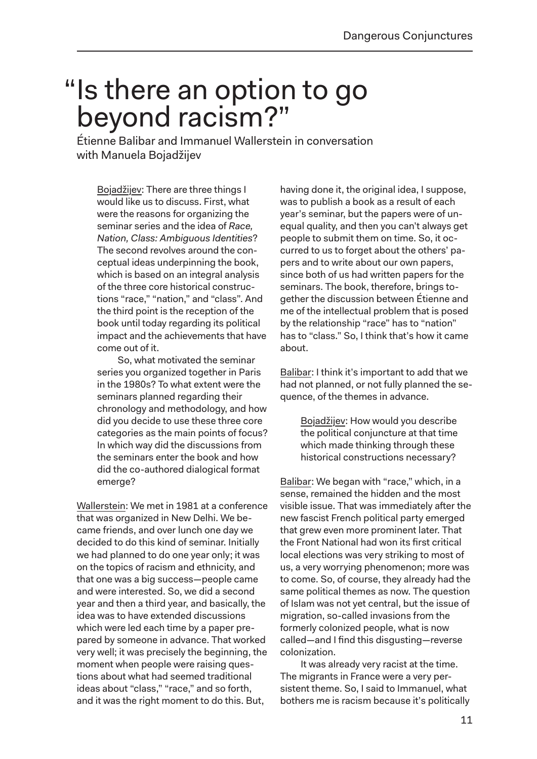## "Is there an option to go beyond racism?"

Étienne Balibar and Immanuel Wallerstein in conversation with Manuela Bojadžijev

Bojadžijev: There are three things I would like us to discuss. First, what were the reasons for organizing the seminar series and the idea of *Race, Nation, Class: Ambiguous Identities*? The second revolves around the conceptual ideas underpinning the book, which is based on an integral analysis of the three core historical constructions "race," "nation," and "class". And the third point is the reception of the book until today regarding its political impact and the achievements that have come out of it.

So, what motivated the seminar series you organized together in Paris in the 1980s? To what extent were the seminars planned regarding their chronology and methodology, and how did you decide to use these three core categories as the main points of focus? In which way did the discussions from the seminars enter the book and how did the co-authored dialogical format emerge?

Wallerstein: We met in 1981 at a conference that was organized in New Delhi. We became friends, and over lunch one day we decided to do this kind of seminar. Initially we had planned to do one year only; it was on the topics of racism and ethnicity, and that one was a big success—people came and were interested. So, we did a second year and then a third year, and basically, the idea was to have extended discussions which were led each time by a paper prepared by someone in advance. That worked very well; it was precisely the beginning, the moment when people were raising questions about what had seemed traditional ideas about "class," "race," and so forth, and it was the right moment to do this. But,

having done it, the original idea, I suppose, was to publish a book as a result of each year's seminar, but the papers were of unequal quality, and then you can't always get people to submit them on time. So, it occurred to us to forget about the others' papers and to write about our own papers, since both of us had written papers for the seminars. The book, therefore, brings together the discussion between Étienne and me of the intellectual problem that is posed by the relationship "race" has to "nation" has to "class." So, I think that's how it came about.

Balibar: I think it's important to add that we had not planned, or not fully planned the sequence, of the themes in advance.

> Bojadžijev: How would you describe the political conjuncture at that time which made thinking through these historical constructions necessary?

Balibar: We began with "race," which, in a sense, remained the hidden and the most visible issue. That was immediately after the new fascist French political party emerged that grew even more prominent later. That the Front National had won its first critical local elections was very striking to most of us, a very worrying phenomenon; more was to come. So, of course, they already had the same political themes as now. The question of Islam was not yet central, but the issue of migration, so-called invasions from the formerly colonized people, what is now called—and I find this disgusting—reverse colonization.

It was already very racist at the time. The migrants in France were a very persistent theme. So, I said to Immanuel, what bothers me is racism because it's politically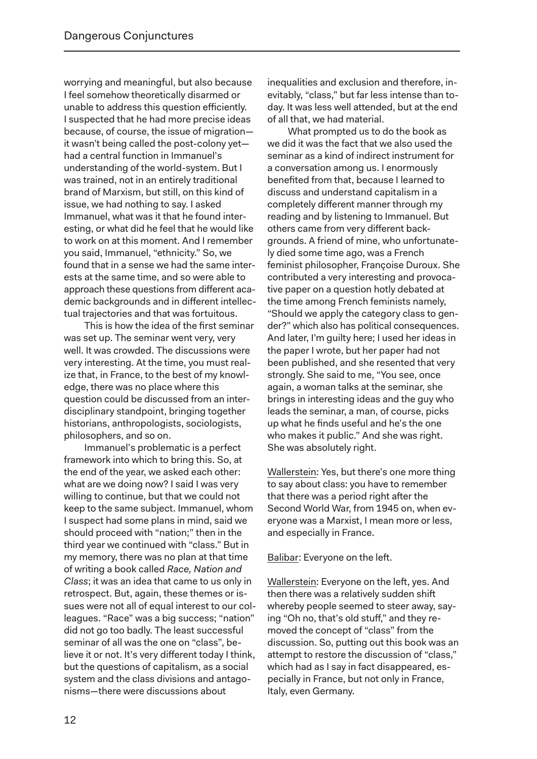worrying and meaningful, but also because I feel somehow theoretically disarmed or unable to address this question efficiently. I suspected that he had more precise ideas because, of course, the issue of migration it wasn't being called the post-colony yet had a central function in Immanuel's understanding of the world-system. But I was trained, not in an entirely traditional brand of Marxism, but still, on this kind of issue, we had nothing to say. I asked Immanuel, what was it that he found interesting, or what did he feel that he would like to work on at this moment. And I remember you said, Immanuel, "ethnicity." So, we found that in a sense we had the same interests at the same time, and so were able to approach these questions from different aca demic backgrounds and in different intellectual trajectories and that was fortuitous.

This is how the idea of the first seminar was set up. The seminar went very, very well. It was crowded. The discussions were very interesting. At the time, you must realize that, in France, to the best of my knowledge, there was no place where this question could be discussed from an interdisciplinary standpoint, bringing together historians, anthropologists, sociologists, philosophers, and so on.

Immanuel's problematic is a perfect framework into which to bring this. So, at the end of the year, we asked each other: what are we doing now? I said I was very willing to continue, but that we could not keep to the same subject. Immanuel, whom I suspect had some plans in mind, said we should proceed with "nation;" then in the third year we continued with "class." But in my memory, there was no plan at that time of writing a book called *Race, Nation and Class*; it was an idea that came to us only in retrospect. But, again, these themes or issues were not all of equal interest to our colleagues. "Race" was a big success; "nation" did not go too badly. The least successful seminar of all was the one on "class", believe it or not. It's very different today I think, but the questions of capitalism, as a social system and the class divisions and antagonisms—there were discussions about

inequalities and exclusion and therefore, inevitably, "class," but far less intense than today. It was less well attended, but at the end of all that, we had material.

What prompted us to do the book as we did it was the fact that we also used the seminar as a kind of indirect instrument for a conversation among us. I enormously benefited from that, because I learned to discuss and understand capitalism in a completely different manner through my reading and by listening to Immanuel. But others came from very different backgrounds. A friend of mine, who unfortunately died some time ago, was a French feminist philosopher, Françoise Duroux. She contributed a very interesting and provocative paper on a question hotly debated at the time among French feminists namely, "Should we apply the category class to gender?" which also has political consequences. And later, I'm guilty here; I used her ideas in the paper I wrote, but her paper had not been published, and she resented that very strongly. She said to me, "You see, once again, a woman talks at the seminar, she brings in interesting ideas and the guy who leads the seminar, a man, of course, picks up what he finds useful and he's the one who makes it public." And she was right. She was absolutely right.

Wallerstein: Yes, but there's one more thing to say about class: you have to remember that there was a period right after the Second World War, from 1945 on, when everyone was a Marxist, I mean more or less, and especially in France.

Balibar: Everyone on the left.

Wallerstein: Everyone on the left, yes. And then there was a relatively sudden shift whereby people seemed to steer away, saying "Oh no, that's old stuff," and they removed the concept of "class" from the discussion. So, putting out this book was an attempt to restore the discussion of "class," which had as I say in fact disappeared, especially in France, but not only in France, Italy, even Germany.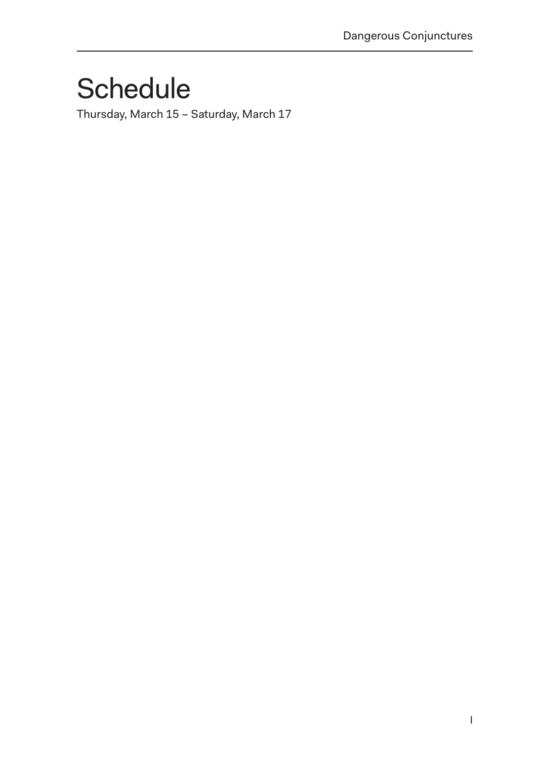## **Schedule**

Thursday, March 15 – Saturday, March 17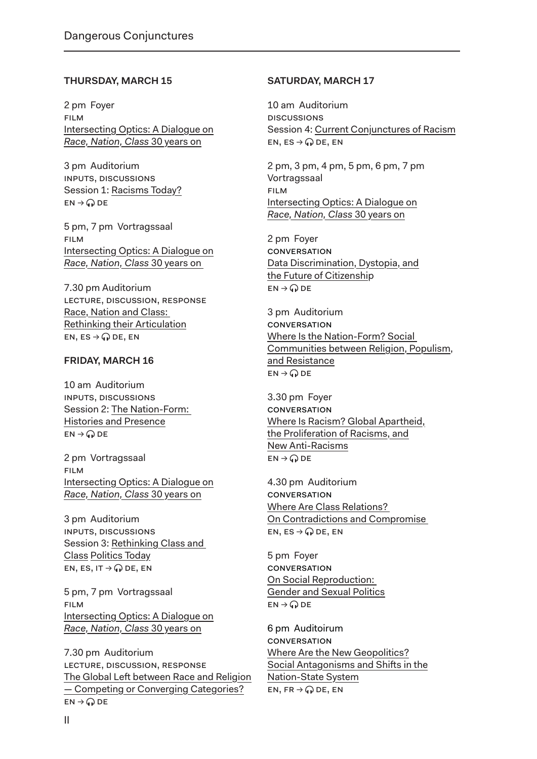#### **THURSDAY, MARCH 15**

2 pm Foyer Film Intersecting Optics: A Dialogue on *Race, Nation, Class* 30 years on

3 pm Auditorium Inputs, Discussions Session 1: Racisms Today?  $EN \rightarrow Q$  DE

5 pm, 7 pm Vortragssaal Film Intersecting Optics: A Dialogue on *Race, Nation, Class* 30 years on

7.30 pm Auditorium Lecture, Discussion, RESPONSE Race, Nation and Class: Rethinking their Articulation EN, ES  $\rightarrow$  Q DE, EN

#### **FRIDAY, MARCH 16**

10 am Auditorium Inputs, Discussions Session 2: The Nation-Form: Histories and Presence  $EN \rightarrow Q$  DE

2 pm Vortragssaal Film Intersecting Optics: A Dialogue on *Race, Nation, Class* 30 years on

3 pm Auditorium Inputs, Discussions Session 3: Rethinking Class and Class Politics Today EN, ES, IT  $\rightarrow$   $\curvearrowright$  DE, EN

5 pm, 7 pm Vortragssaal Film Intersecting Optics: A Dialogue on *Race, Nation, Class* 30 years on

7.30 pm Auditorium Lecture, Discussion, RESPONSE The Global Left between Race and Religion — Competing or Converging Categories?  $EN \rightarrow Q$  DE

#### **SATURDAY, MARCH 17**

10 am Auditorium **DISCUSSIONS** Session 4: Current Conjunctures of Racism EN, ES  $\rightarrow$  Q DE, EN

2 pm, 3 pm, 4 pm, 5 pm, 6 pm, 7 pm Vortragssaal Film Intersecting Optics: A Dialogue on *Race, Nation, Class* 30 years on

2 pm Foyer **CONVERSATION** Data Discrimination, Dystopia, and the Future of Citizenship  $EN \rightarrow Q$  DE

3 pm Auditorium **CONVERSATION** Where Is the Nation-Form? Social Communities between Religion, Populism, and Resistance  $EN \rightarrow Q$  DE

3.30 pm Foyer **CONVERSATION** Where Is Racism? Global Apartheid, the Proliferation of Racisms, and New Anti-Racisms  $EN \rightarrow Q$  DE

4.30 pm Auditorium **CONVERSATION** Where Are Class Relations? On Contradictions and Compromise EN, ES  $\rightarrow$  Q DE, EN

5 pm Foyer **CONVERSATION** On Social Reproduction: Gender and Sexual Politics  $EN \rightarrow Q$  DE

6 pm Auditoirum **CONVERSATION** Where Are the New Geopolitics? Social Antagonisms and Shifts in the Nation-State System EN, FR  $\rightarrow$  Q DE, EN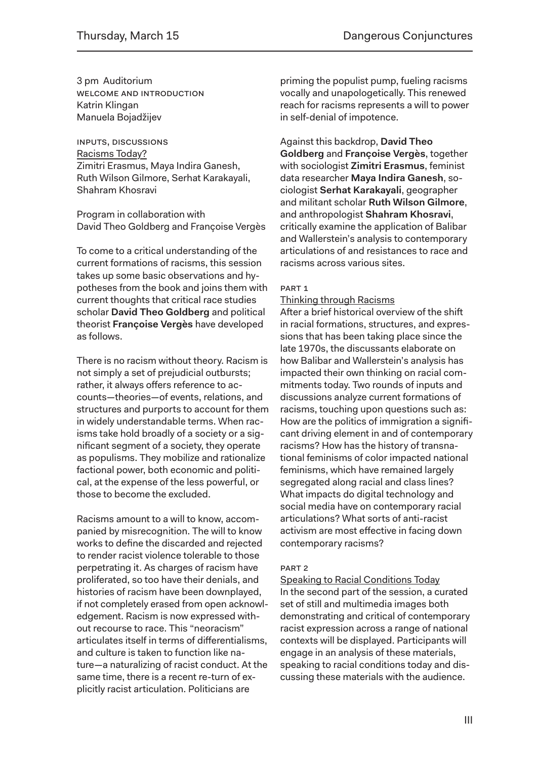3 pm Auditorium welcome and Introduction Katrin Klingan Manuela Bojadžijev

Inputs, Discussions Racisms Today? Zimitri Erasmus, Maya Indira Ganesh, Ruth Wilson Gilmore, Serhat Karakayali, Shahram Khosravi

Program in collaboration with David Theo Goldberg and Françoise Vergès

To come to a critical understanding of the current formations of racisms, this session takes up some basic observations and hypotheses from the book and joins them with current thoughts that critical race studies scholar **David Theo Goldberg** and political theorist **Françoise Vergès** have developed as follows.

There is no racism without theory. Racism is not simply a set of prejudicial outbursts; rather, it always offers reference to accounts—theories—of events, relations, and structures and purports to account for them in widely understandable terms. When racisms take hold broadly of a society or a significant segment of a society, they operate as populisms. They mobilize and rationalize factional power, both economic and political, at the expense of the less powerful, or those to become the excluded.

Racisms amount to a will to know, accompanied by misrecognition. The will to know works to define the discarded and rejected to render racist violence tolerable to those perpetrating it. As charges of racism have proliferated, so too have their denials, and histories of racism have been downplayed, if not completely erased from open acknowledgement. Racism is now expressed without recourse to race. This "neoracism" articulates itself in terms of differentialisms, and culture is taken to function like nature—a naturalizing of racist conduct. At the same time, there is a recent re-turn of explicitly racist articulation. Politicians are

priming the populist pump, fueling racisms vocally and unapologetically. This renewed reach for racisms represents a will to power in self-denial of impotence.

Against this backdrop, **David Theo Goldberg** and **Françoise Vergès**, together with sociologist **Zimitri Erasmus**, feminist data researcher **Maya Indira Ganesh**, sociologist **Serhat Karakayali**, geographer and militant scholar **Ruth Wilson Gilmore**, and anthropologist **Shahram Khosravi**, critically examine the application of Balibar and Wallerstein's analysis to contemporary articulations of and resistances to race and racisms across various sites.

#### PART 1

#### Thinking through Racisms

After a brief historical overview of the shift in racial formations, structures, and expressions that has been taking place since the late 1970s, the discussants elaborate on how Balibar and Wallerstein's analysis has impacted their own thinking on racial commitments today. Two rounds of inputs and discussions analyze current formations of racisms, touching upon questions such as: How are the politics of immigration a significant driving element in and of contemporary racisms? How has the history of transnational feminisms of color impacted national feminisms, which have remained largely segregated along racial and class lines? What impacts do digital technology and social media have on contemporary racial articulations? What sorts of anti-racist activism are most effective in facing down contemporary racisms?

#### PART 2

Speaking to Racial Conditions Today In the second part of the session, a curated set of still and multimedia images both demonstrating and critical of contemporary racist expression across a range of national contexts will be displayed. Participants will engage in an analysis of these materials, speaking to racial conditions today and discussing these materials with the audience.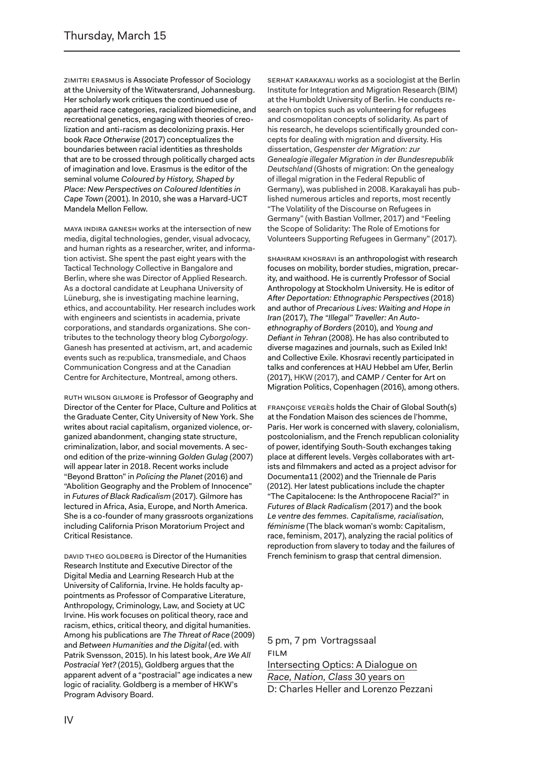Zimitri Erasmus is Associate Professor of Sociology at the University of the Witwatersrand, Johannesburg. Her scholarly work critiques the continued use of apartheid race categories, racialized biomedicine, and recreational genetics, engaging with theories of creolization and anti-racism as decolonizing praxis. Her book *Race Otherwise* (2017) conceptualizes the boundaries between racial identities as thresholds that are to be crossed through politically charged acts of imagination and love. Erasmus is the editor of the seminal volume *Coloured by History, Shaped by Place: New Perspectives on Coloured Identities in Cape Town* (2001). In 2010, she was a Harvard-UCT Mandela Mellon Fellow.

Maya Indira Ganesh works at the intersection of new media, digital technologies, gender, visual advocacy, and human rights as a researcher, writer, and information activist. She spent the past eight years with the Tactical Technology Collective in Bangalore and Berlin, where she was Director of Applied Research. As a doctoral candidate at Leuphana University of Lüneburg, she is investigating machine learning, ethics, and accountability. Her research includes work with engineers and scientists in academia, private corporations, and standards organizations. She contributes to the technology theory blog *Cyborgology*. Ganesh has presented at activism, art, and academic events such as re:publica, transmediale, and Chaos Communication Congress and at the Canadian Centre for Architecture, Montreal, among others.

RUTH WILSON GILMORE is Professor of Geography and Director of the Center for Place, Culture and Politics at the Graduate Center, City University of New York. She writes about racial capitalism, organized violence, organized abandonment, changing state structure, criminalization, labor, and social movements. A second edition of the prize-winning *Golden Gulag* (2007) will appear later in 2018. Recent works include "Beyond Bratton" in *Policing the Planet* (2016) and "Abolition Geography and the Problem of Innocence" in *Futures of Black Radicalism* (2017). Gilmore has lectured in Africa, Asia, Europe, and North America. She is a co-founder of many grassroots organizations including California Prison Moratorium Project and Critical Resistance.

DAVID THEO GOLDBERG is Director of the Humanities Research Institute and Executive Director of the Digital Media and Learning Research Hub at the University of California, Irvine. He holds faculty appointments as Professor of Comparative Literature, Anthropology, Criminology, Law, and Society at UC Irvine. His work focuses on political theory, race and racism, ethics, critical theory, and digital humanities. Among his publications are *The Threat of Race* (2009) and *Between Humanities and the Digital* (ed. with Patrik Svensson, 2015). In his latest book, *Are We All Postracial Yet?* (2015), Goldberg argues that the apparent advent of a "postracial" age indicates a new logic of raciality. Goldberg is a member of HKW's Program Advisory Board.

serhat karakayali works as a sociologist at the Berlin Institute for Integration and Migration Research (BIM) at the Humboldt University of Berlin. He conducts research on topics such as volunteering for refugees and cosmopolitan concepts of solidarity. As part of his research, he develops scientifically grounded concepts for dealing with migration and diversity. His dissertation, *Gespenster der Migration: zur Genealogie illegaler Migration in der Bundesrepublik Deutschland* (Ghosts of migration: On the genealogy of illegal migration in the Federal Republic of Germany), was published in 2008. Karakayali has published numerous articles and reports, most recently "The Volatility of the Discourse on Refugees in Germany" (with Bastian Vollmer, 2017) and "Feeling the Scope of Solidarity: The Role of Emotions for Volunteers Supporting Refugees in Germany" (2017).

SHAHRAM KHOSRAVI is an anthropologist with research focuses on mobility, border studies, migration, precarity, and waithood. He is currently Professor of Social Anthropology at Stockholm University. He is editor of *After Deportation: Ethnographic Perspectives* (2018) and author of *Precarious Lives: Waiting and Hope in Iran* (2017), *The "Illegal" Traveller: An Autoethnography of Borders* (2010), and *Young and Defiant in Tehran* (2008). He has also contributed to diverse magazines and journals, such as Exiled Ink! and Collective Exile. Khosravi recently participated in talks and conferences at HAU Hebbel am Ufer, Berlin (2017), HKW (2017), and CAMP / Center for Art on Migration Politics, Copenhagen (2016), among others.

Françoise Vergès holds the Chair of Global South(s) at the Fondation Maison des sciences de l'homme, Paris. Her work is concerned with slavery, colonialism, postcolonialism, and the French republican coloniality of power, identifying South-South exchanges taking place at different levels. Vergès collaborates with artists and filmmakers and acted as a project advisor for Documenta11 (2002) and the Triennale de Paris (2012). Her latest publications include the chapter "The Capitalocene: Is the Anthropocene Racial?" in *Futures of Black Radicalism* (2017) and the book *Le ventre des femmes. Capitalisme, racialisation, féminisme* (The black woman's womb: Capitalism, race, feminism, 2017), analyzing the racial politics of reproduction from slavery to today and the failures of French feminism to grasp that central dimension.

5 pm, 7 pm Vortragssaal Film Intersecting Optics: A Dialogue on *Race, Nation, Class* 30 years on D: Charles Heller and Lorenzo Pezzani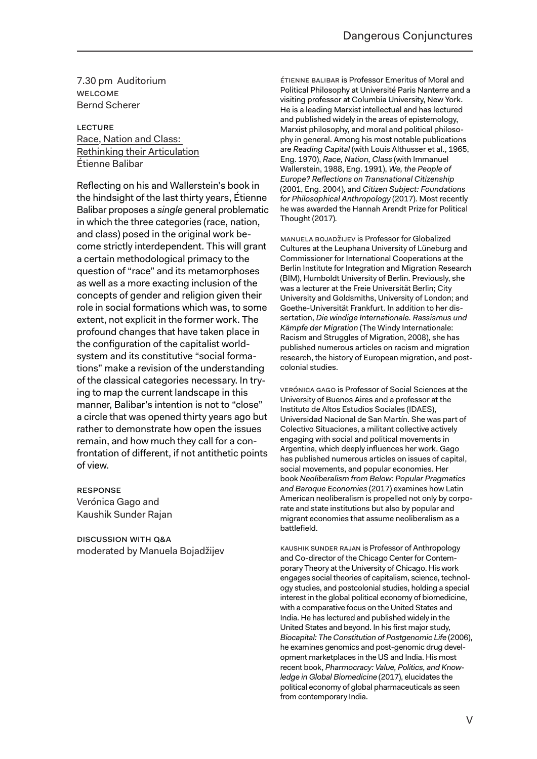7.30 pm Auditorium Welcome Bernd Scherer

Lecture Race, Nation and Class: Rethinking their Articulation Étienne Balibar

Reflecting on his and Wallerstein's book in the hindsight of the last thirty years, Étienne Balibar proposes a *single* general problematic in which the three categories (race, nation, and class) posed in the original work become strictly interdependent. This will grant a certain methodological primacy to the question of "race" and its metamorphoses as well as a more exacting inclusion of the concepts of gender and religion given their role in social formations which was, to some extent, not explicit in the former work. The profound changes that have taken place in the configuration of the capitalist worldsystem and its constitutive "social formations" make a revision of the understanding of the classical categories necessary. In trying to map the current landscape in this manner, Balibar's intention is not to "close" a circle that was opened thirty years ago but rather to demonstrate how open the issues remain, and how much they call for a confrontation of different, if not antithetic points of view.

Response Verónica Gago and Kaushik Sunder Rajan

Discussion with Q&A moderated by Manuela Bojadžijev

Étienne Balibar is Professor Emeritus of Moral and Political Philosophy at Université Paris Nanterre and a visiting professor at Columbia University, New York. He is a leading Marxist intellectual and has lectured and published widely in the areas of epistemology, Marxist philosophy, and moral and political philosophy in general. Among his most notable publications are *Reading Capital* (with Louis Althusser et al., 1965, Eng. 1970), *Race, Nation, Class* (with Immanuel Wallerstein, 1988, Eng. 1991), *We, the People of Europe? Reflections on Transnational Citizenship* (2001, Eng. 2004), and *Citizen Subject: Foundations for Philosophical Anthropology* (2017). Most recently he was awarded the Hannah Arendt Prize for Political Thought (2017)*.*

Manuela Bojadžijev is Professor for Globalized Cultures at the Leuphana University of Lüneburg and Commissioner for International Cooperations at the Berlin Institute for Integration and Migration Research (BIM), Humboldt University of Berlin. Previously, she was a lecturer at the Freie Universität Berlin; City University and Goldsmiths, University of London; and Goethe-Universität Frankfurt. In addition to her dissertation, *Die windige Internationale. Rassismus und Kämpfe der Migration* (The Windy Internationale: Racism and Struggles of Migration, 2008), she has published numerous articles on racism and migration research, the history of European migration, and postcolonial studies.

Verónica Gago is Professor of Social Sciences at the University of Buenos Aires and a professor at the Instituto de Altos Estudios Sociales (IDAES), Universidad Nacional de San Martín. She was part of Colectivo Situaciones, a militant collective actively engaging with social and political movements in Argentina, which deeply influences her work. Gago has published numerous articles on issues of capital, social movements, and popular economies. Her book *Neoliberalism from Below: Popular Pragmatics and Baroque Economies* (2017) examines how Latin American neoliberalism is propelled not only by corporate and state institutions but also by popular and migrant economies that assume neoliberalism as a battlefield.

Kaushik Sunder Rajan is Professor of Anthropology and Co-director of the Chicago Center for Contemporary Theory at the University of Chicago. His work engages social theories of capitalism, science, technology studies, and postcolonial studies, holding a special interest in the global political economy of biomedicine, with a comparative focus on the United States and India. He has lectured and published widely in the United States and beyond. In his first major study, *Biocapital: The Constitution of Postgenomic Life* (2006), he examines genomics and post-genomic drug development marketplaces in the US and India. His most recent book, *Pharmocracy: Value, Politics, and Knowledge in Global Biomedicine* (2017), elucidates the political economy of global pharmaceuticals as seen from contemporary India.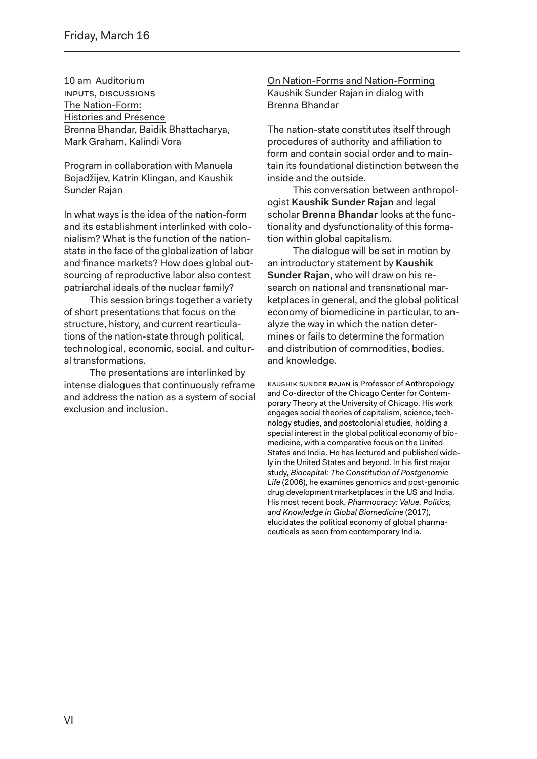10 am Auditorium Inputs, Discussions The Nation-Form: Histories and Presence Brenna Bhandar, Baidik Bhattacharya, Mark Graham, Kalindi Vora

Program in collaboration with Manuela Bojadžijev, Katrin Klingan, and Kaushik Sunder Rajan

In what ways is the idea of the nation-form and its establishment interlinked with colonialism? What is the function of the nationstate in the face of the globalization of labor and finance markets? How does global outsourcing of reproductive labor also contest patriarchal ideals of the nuclear family?

This session brings together a variety of short presentations that focus on the structure, history, and current rearticulations of the nation-state through political, technological, economic, social, and cultural transformations.

The presentations are interlinked by intense dialogues that continuously reframe and address the nation as a system of social exclusion and inclusion.

On Nation-Forms and Nation-Forming Kaushik Sunder Rajan in dialog with Brenna Bhandar

The nation-state constitutes itself through procedures of authority and affiliation to form and contain social order and to maintain its foundational distinction between the inside and the outside.

This conversation between anthropologist **Kaushik Sunder Rajan** and legal scholar **Brenna Bhandar** looks at the functionality and dysfunctionality of this formation within global capitalism.

The dialogue will be set in motion by an introductory statement by **Kaushik Sunder Rajan**, who will draw on his research on national and transnational marketplaces in general, and the global political economy of biomedicine in particular, to analyze the way in which the nation determines or fails to determine the formation and distribution of commodities, bodies, and knowledge.

Kaushik Sunder Rajan is Professor of Anthropology and Co-director of the Chicago Center for Contemporary Theory at the University of Chicago. His work engages social theories of capitalism, science, technology studies, and postcolonial studies, holding a special interest in the global political economy of biomedicine, with a comparative focus on the United States and India. He has lectured and published widely in the United States and beyond. In his first major study, *Biocapital: The Constitution of Postgenomic Life* (2006), he examines genomics and post-genomic drug development marketplaces in the US and India. His most recent book, *Pharmocracy: Value, Politics, and Knowledge in Global Biomedicine* (2017), elucidates the political economy of global pharmaceuticals as seen from contemporary India.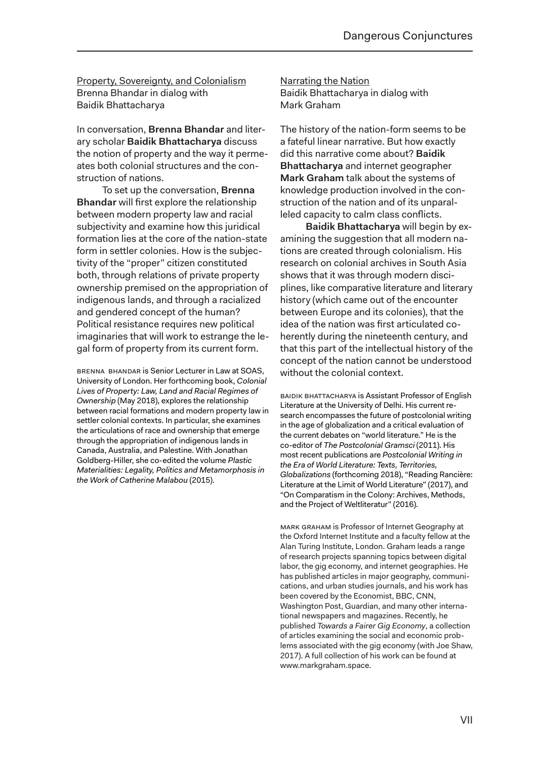Property, Sovereignty, and Colonialism Brenna Bhandar in dialog with Baidik Bhattacharya

In conversation, **Brenna Bhandar** and literary scholar **Baidik Bhattacharya** discuss the notion of property and the way it permeates both colonial structures and the construction of nations.

To set up the conversation, **Brenna Bhandar** will first explore the relationship between modern property law and racial subjectivity and examine how this juridical formation lies at the core of the nation-state form in settler colonies. How is the subjectivity of the "proper" citizen constituted both, through relations of private property ownership premised on the appropriation of indigenous lands, and through a racialized and gendered concept of the human? Political resistance requires new political imaginaries that will work to estrange the legal form of property from its current form.

Brenna Bhandar is Senior Lecturer in Law at SOAS, University of London. Her forthcoming book, *Colonial Lives of Property: Law, Land and Racial Regimes of Ownership* (May 2018), explores the relationship between racial formations and modern property law in settler colonial contexts. In particular, she examines the articulations of race and ownership that emerge through the appropriation of indigenous lands in Canada, Australia, and Palestine. With Jonathan Goldberg-Hiller, she co-edited the volume *Plastic Materialities: Legality, Politics and Metamorphosis in the Work of Catherine Malabou* (2015).

Narrating the Nation Baidik Bhattacharya in dialog with Mark Graham

The history of the nation-form seems to be a fateful linear narrative. But how exactly did this narrative come about? **Baidik Bhattacharya** and internet geographer **Mark Graham** talk about the systems of knowledge production involved in the construction of the nation and of its unparalleled capacity to calm class conflicts.

**Baidik Bhattacharya** will begin by examining the suggestion that all modern nations are created through colonialism. His research on colonial archives in South Asia shows that it was through modern disciplines, like comparative literature and literary history (which came out of the encounter between Europe and its colonies), that the idea of the nation was first articulated coherently during the nineteenth century, and that this part of the intellectual history of the concept of the nation cannot be understood without the colonial context.

Baidik Bhattacharya is Assistant Professor of English Literature at the University of Delhi. His current research encompasses the future of postcolonial writing in the age of globalization and a critical evaluation of the current debates on "world literature." He is the co-editor of *The Postcolonial Gramsci* (2011). His most recent publications are *Postcolonial Writing in the Era of World Literature: Texts, Territories, Globalizations* (forthcoming 2018), "Reading Rancière: Literature at the Limit of World Literature" (2017), and "On Comparatism in the Colony: Archives, Methods, and the Project of Weltliteratur" (2016).

Mark Graham is Professor of Internet Geography at the Oxford Internet Institute and a faculty fellow at the Alan Turing Institute, London. Graham leads a range of research projects spanning topics between digital labor, the gig economy, and internet geographies. He has published articles in major geography, communications, and urban studies journals, and his work has been covered by the Economist, BBC, CNN, Washington Post, Guardian, and many other international newspapers and magazines. Recently, he published *Towards a Fairer Gig Economy*, a collection of articles examining the social and economic problems associated with the gig economy (with Joe Shaw, 2017). A full collection of his work can be found at www.markgraham.space.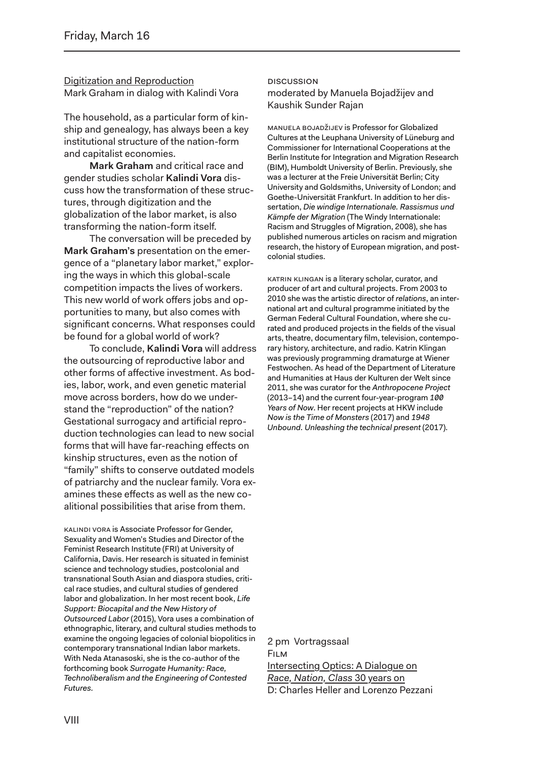Digitization and Reproduction Mark Graham in dialog with Kalindi Vora

The household, as a particular form of kinship and genealogy, has always been a key institutional structure of the nation-form and capitalist economies.

**Mark Graham** and critical race and gender studies scholar **Kalindi Vora** discuss how the transformation of these structures, through digitization and the globalization of the labor market, is also transforming the nation-form itself.

The conversation will be preceded by **Mark Graham's** presentation on the emergence of a "planetary labor market," exploring the ways in which this global-scale competition impacts the lives of workers. This new world of work offers jobs and opportunities to many, but also comes with significant concerns. What responses could be found for a global world of work?

To conclude, **Kalindi Vora** will address the outsourcing of reproductive labor and other forms of affective investment. As bodies, labor, work, and even genetic material move across borders, how do we understand the "reproduction" of the nation? Gestational surrogacy and artificial reproduction technologies can lead to new social forms that will have far-reaching effects on kinship structures, even as the notion of "family" shifts to conserve outdated models of patriarchy and the nuclear family. Vora examines these effects as well as the new coalitional possibilities that arise from them.

Kalindi Vora is Associate Professor for Gender, Sexuality and Women's Studies and Director of the Feminist Research Institute (FRI) at University of California, Davis. Her research is situated in feminist science and technology studies, postcolonial and transnational South Asian and diaspora studies, critical race studies, and cultural studies of gendered labor and globalization. In her most recent book, *Life Support: Biocapital and the New History of Outsourced Labor* (2015), Vora uses a combination of ethnographic, literary, and cultural studies methods to examine the ongoing legacies of colonial biopolitics in contemporary transnational Indian labor markets. With Neda Atanasoski, she is the co-author of the forthcoming book *Surrogate Humanity: Race, Technoliberalism and the Engineering of Contested Futures.*

#### **DISCUSSION** moderated by Manuela Bojadžijev and Kaushik Sunder Rajan

Manuela Bojadžijev is Professor for Globalized Cultures at the Leuphana University of Lüneburg and Commissioner for International Cooperations at the Berlin Institute for Integration and Migration Research (BIM), Humboldt University of Berlin. Previously, she was a lecturer at the Freie Universität Berlin; City University and Goldsmiths, University of London; and Goethe-Universität Frankfurt. In addition to her dissertation, *Die windige Internationale. Rassismus und Kämpfe der Migration* (The Windy Internationale: Racism and Struggles of Migration, 2008), she has published numerous articles on racism and migration research, the history of European migration, and postcolonial studies.

KATRIN KLINGAN is a literary scholar, curator, and producer of art and cultural projects. From 2003 to 2010 she was the artistic director of *relations*, an international art and cultural programme initiated by the German Federal Cultural Foundation, where she curated and produced projects in the fields of the visual arts, theatre, documentary film, television, contemporary history, architecture, and radio. Katrin Klingan was previously programming dramaturge at Wiener Festwochen. As head of the Department of Literature and Humanities at Haus der Kulturen der Welt since 2011, she was curator for the *Anthropocene Project* (2013–14) and the current four-year-program *100 Years of Now*. Her recent projects at HKW include *Now is the Time of Monsters* (2017) and *1948 Unbound. Unleashing the technical present* (2017).

2 pm Vortragssaal Film Intersecting Optics: A Dialogue on *Race, Nation, Class* 30 years on D: Charles Heller and Lorenzo Pezzani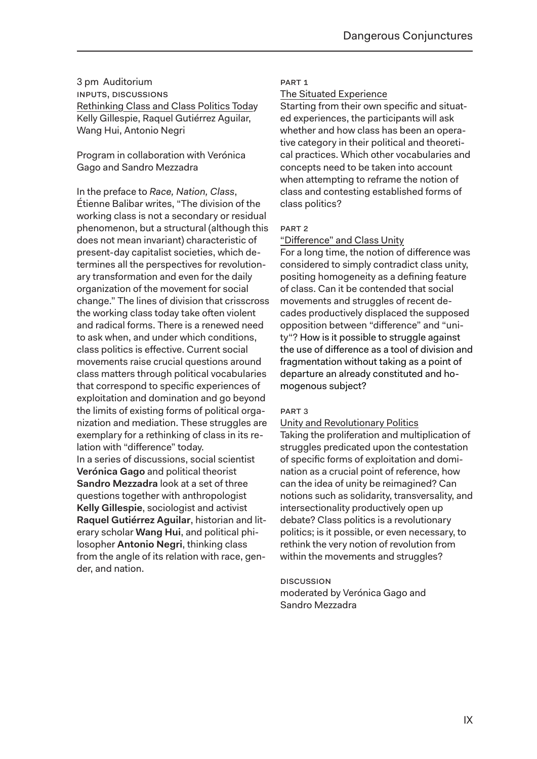3 pm Auditorium INPUTs, DISCUSSIONS Rethinking Class and Class Politics Today Kelly Gillespie, Raquel Gutiérrez Aguilar, Wang Hui, Antonio Negri

Program in collaboration with Verónica Gago and Sandro Mezzadra

In the preface to *Race, Nation, Class*, Étienne Balibar writes, "The division of the working class is not a secondary or residual phenomenon, but a structural (although this does not mean invariant) characteristic of present-day capitalist societies, which determines all the perspectives for revolutionary transformation and even for the daily organization of the movement for social change." The lines of division that crisscross the working class today take often violent and radical forms. There is a renewed need to ask when, and under which conditions, class politics is effective. Current social movements raise crucial questions around class matters through political vocabularies that correspond to specific experiences of exploitation and domination and go beyond the limits of existing forms of political organization and mediation. These struggles are exemplary for a rethinking of class in its relation with "difference" today. In a series of discussions, social scientist **Verónica Gago** and political theorist **Sandro Mezzadra** look at a set of three questions together with anthropologist **Kelly Gillespie**, sociologist and activist **Raquel Gutiérrez Aguilar**, historian and literary scholar **Wang Hui**, and political philosopher **Antonio Negri**, thinking class from the angle of its relation with race, gender, and nation.

#### PART 1

#### The Situated Experience

Starting from their own specific and situated experiences, the participants will ask whether and how class has been an operative category in their political and theoretical practices. Which other vocabularies and concepts need to be taken into account when attempting to reframe the notion of class and contesting established forms of class politics?

#### PART 2

#### "Difference" and Class Unity

For a long time, the notion of difference was considered to simply contradict class unity, positing homogeneity as a defining feature of class. Can it be contended that social movements and struggles of recent decades productively displaced the supposed opposition between "difference" and "unity"? How is it possible to struggle against the use of difference as a tool of division and fragmentation without taking as a point of departure an already constituted and homogenous subject?

#### PART 3

Unity and Revolutionary Politics Taking the proliferation and multiplication of struggles predicated upon the contestation of specific forms of exploitation and domination as a crucial point of reference, how can the idea of unity be reimagined? Can notions such as solidarity, transversality, and intersectionality productively open up debate? Class politics is a revolutionary politics; is it possible, or even necessary, to rethink the very notion of revolution from within the movements and struggles?

**DISCUSSION** moderated by Verónica Gago and Sandro Mezzadra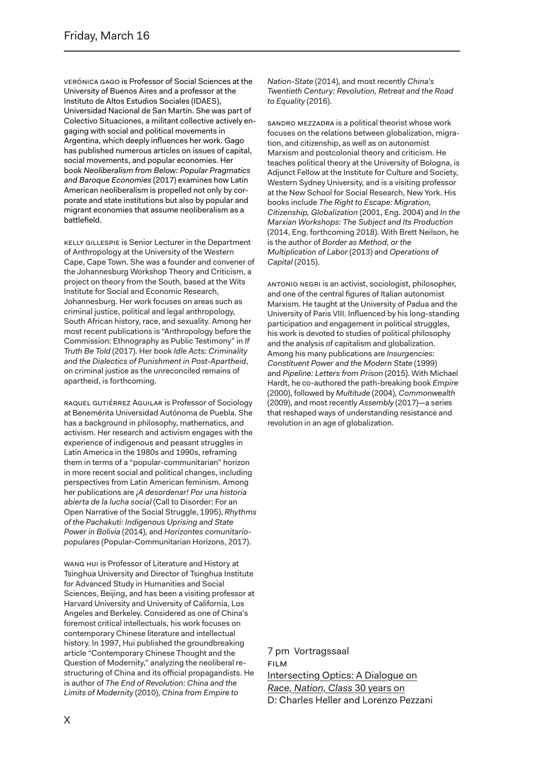Verónica Gago is Professor of Social Sciences at the University of Buenos Aires and a professor at the Instituto de Altos Estudios Sociales (IDAES), Universidad Nacional de San Martín. She was part of Colectivo Situaciones, a militant collective actively engaging with social and political movements in Argentina, which deeply influences her work. Gago has published numerous articles on issues of capital, social movements, and popular economies. Her book *Neoliberalism from Below: Popular Pragmatics and Baroque Economies* (2017) examines how Latin American neoliberalism is propelled not only by corporate and state institutions but also by popular and migrant economies that assume neoliberalism as a battlefield.

Kelly Gillespie is Senior Lecturer in the Department of Anthropology at the University of the Western Cape, Cape Town. She was a founder and convener of the Johannesburg Workshop Theory and Criticism, a project on theory from the South, based at the Wits Institute for Social and Economic Research, Johannesburg. Her work focuses on areas such as criminal justice, political and legal anthropology, South African history, race, and sexuality. Among her most recent publications is "Anthropology before the Commission: Ethnography as Public Testimony" in *If Truth Be Told* (2017). Her book *Idle Acts: Criminality and the Dialectics of Punishment in Post-Apartheid*, on criminal justice as the unreconciled remains of apartheid, is forthcoming.

raquel Gutiérrez Aguilar is Professor of Sociology at Benemérita Universidad Autónoma de Puebla. She has a background in philosophy, mathematics, and activism. Her research and activism engages with the experience of indigenous and peasant struggles in Latin America in the 1980s and 1990s, reframing them in terms of a "popular-communitarian" horizon in more recent social and political changes, including perspectives from Latin American feminism. Among her publications are *¡A desordenar! Por una historia abierta de la lucha social* (Call to Disorder: For an Open Narrative of the Social Struggle, 1995), *Rhythms of the Pachakuti: Indigenous Uprising and State Power in Bolivia* (2014), and *Horizontes comunitariopopulares* (Popular-Communitarian Horizons, 2017).

Wang Hui is Professor of Literature and History at Tsinghua University and Director of Tsinghua Institute for Advanced Study in Humanities and Social Sciences, Beijing, and has been a visiting professor at Harvard University and University of California, Los Angeles and Berkeley. Considered as one of China's foremost critical intellectuals, his work focuses on contemporary Chinese literature and intellectual history. In 1997, Hui published the groundbreaking article "Contemporary Chinese Thought and the Question of Modernity," analyzing the neoliberal restructuring of China and its official propagandists. He is author of *The End of Revolution: China and the Limits of Modernity* (2010), *China from Empire to* 

*Nation-State* (2014), and most recently *China's Twentieth Century: Revolution, Retreat and the Road to Equality* (2016).

Sandro Mezzadra is a political theorist whose work focuses on the relations between globalization, migration, and citizenship, as well as on autonomist Marxism and postcolonial theory and criticism. He teaches political theory at the University of Bologna, is Adjunct Fellow at the Institute for Culture and Society, Western Sydney University, and is a visiting professor at the New School for Social Research, New York. His books include *The Right to Escape: Migration, Citizenship, Globalization* (2001, Eng. 2004) and *In the Marxian Workshops: The Subject and Its Production*  (2014, Eng. forthcoming 2018). With Brett Neilson, he is the author of *Border as Method, or the Multiplication of Labor* (2013) and *Operations of Capital* (2015).

Antonio Negri is an activist, sociologist, philosopher, and one of the central figures of Italian autonomist Marxism. He taught at the University of Padua and the University of Paris VIII. Influenced by his long-standing participation and engagement in political struggles, his work is devoted to studies of political philosophy and the analysis of capitalism and globalization. Among his many publications are *Insurgencies: Constituent Power and the Modern State* (1999) and *Pipeline: Letters from Prison* (2015). With Michael Hardt, he co-authored the path-breaking book *Empire*  (2000), followed by *Multitude* (2004), *Commonwealth* (2009), and most recently *Assembly* (2017)—a series that reshaped ways of understanding resistance and revolution in an age of globalization.

7 pm Vortragssaal Film Intersecting Optics: A Dialogue on *Race, Nation, Class* 30 years on D: Charles Heller and Lorenzo Pezzani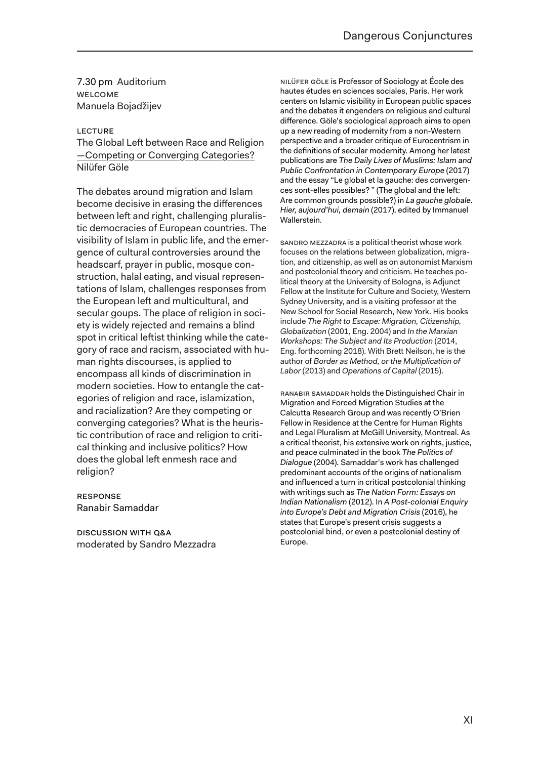7.30 pm Auditorium WELCOME Manuela Bojadžijev

#### **LECTURE**

#### The Global Left between Race and Religion —Competing or Converging Categories? Nilüfer Göle

The debates around migration and Islam become decisive in erasing the differences between left and right, challenging pluralistic democracies of European countries. The visibility of Islam in public life, and the emergence of cultural controversies around the headscarf, prayer in public, mosque construction, halal eating, and visual representations of Islam, challenges responses from the European left and multicultural, and secular goups. The place of religion in society is widely rejected and remains a blind spot in critical leftist thinking while the category of race and racism, associated with human rights discourses, is applied to encompass all kinds of discrimination in modern societies. How to entangle the categories of religion and race, islamization, and racialization? Are they competing or converging categories? What is the heuristic contribution of race and religion to critical thinking and inclusive politics? How does the global left enmesh race and religion?

#### Response Ranabir Samaddar

Discussion WITH Q&A moderated by Sandro Mezzadra

Nilüfer Göle is Professor of Sociology at École des hautes études en sciences sociales, Paris. Her work centers on Islamic visibility in European public spaces and the debates it engenders on religious and cultural difference. Göle's sociological approach aims to open up a new reading of modernity from a non-Western perspective and a broader critique of Eurocentrism in the definitions of secular modernity. Among her latest publications are *The Daily Lives of Muslims: Islam and Public Confrontation in Contemporary Europe* (2017) and the essay "Le global et la gauche: des convergences sont-elles possibles? " (The global and the left: Are common grounds possible?) in *La gauche globale. Hier, aujourd'hui, demain* (2017), edited by Immanuel Wallerstein*.*

Sandro Mezzadra is a political theorist whose work focuses on the relations between globalization, migration, and citizenship, as well as on autonomist Marxism and postcolonial theory and criticism. He teaches political theory at the University of Bologna, is Adjunct Fellow at the Institute for Culture and Society, Western Sydney University, and is a visiting professor at the New School for Social Research, New York. His books include *The Right to Escape: Migration, Citizenship, Globalization* (2001, Eng. 2004) and *In the Marxian Workshops: The Subject and Its Production* (2014, Eng. forthcoming 2018). With Brett Neilson, he is the author of *Border as Method, or the Multiplication of Labor* (2013) and *Operations of Capital* (2015).

Ranabir Samaddar holds the Distinguished Chair in Migration and Forced Migration Studies at the Calcutta Research Group and was recently O'Brien Fellow in Residence at the Centre for Human Rights and Legal Pluralism at McGill University, Montreal. As a critical theorist, his extensive work on rights, justice, and peace culminated in the book *The Politics of Dialogue* (2004). Samaddar's work has challenged predominant accounts of the origins of nationalism and influenced a turn in critical postcolonial thinking with writings such as *The Nation Form: Essays on Indian Nationalism* (2012). In *A Post-colonial Enquiry into Europe's Debt and Migration Crisis* (2016), he states that Europe's present crisis suggests a postcolonial bind, or even a postcolonial destiny of Europe.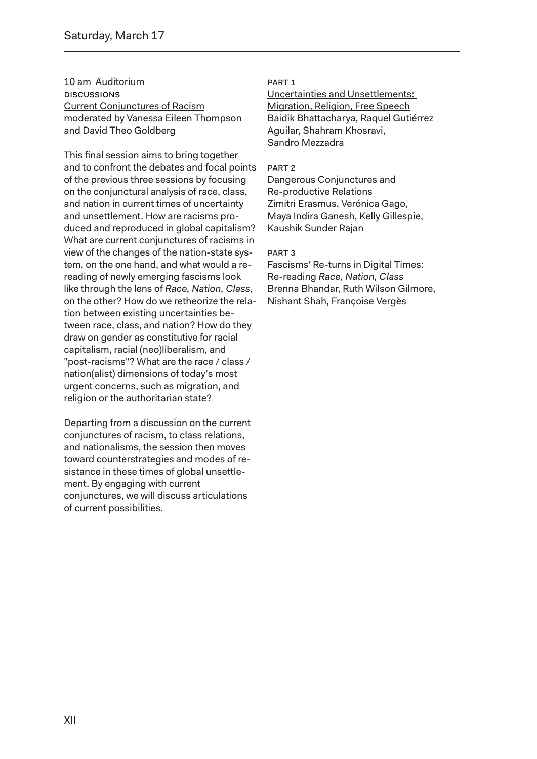10 am Auditorium **DISCUSSIONS** Current Conjunctures of Racism moderated by Vanessa Eileen Thompson and David Theo Goldberg

This final session aims to bring together and to confront the debates and focal points of the previous three sessions by focusing on the conjunctural analysis of race, class, and nation in current times of uncertainty and unsettlement. How are racisms produced and reproduced in global capitalism? What are current conjunctures of racisms in view of the changes of the nation-state system, on the one hand, and what would a rereading of newly emerging fascisms look like through the lens of *Race, Nation, Class*, on the other? How do we retheorize the relation between existing uncertainties between race, class, and nation? How do they draw on gender as constitutive for racial capitalism, racial (neo)liberalism, and "post-racisms"? What are the race / class / nation(alist) dimensions of today's most urgent concerns, such as migration, and religion or the authoritarian state?

Departing from a discussion on the current conjunctures of racism, to class relations, and nationalisms, the session then moves toward counterstrategies and modes of resistance in these times of global unsettlement. By engaging with current conjunctures, we will discuss articulations of current possibilities.

#### PART 1

Uncertainties and Unsettlements: Migration, Religion, Free Speech Baidik Bhattacharya, Raquel Gutiérrez Aguilar, Shahram Khosravi, Sandro Mezzadra

#### PART 2

Dangerous Conjunctures and Re-productive Relations Zimitri Erasmus, Verónica Gago, Maya Indira Ganesh, Kelly Gillespie, Kaushik Sunder Rajan

#### PART 3

Fascisms' Re-turns in Digital Times: Re-reading *Race, Nation, Class* Brenna Bhandar, Ruth Wilson Gilmore, Nishant Shah, Françoise Vergès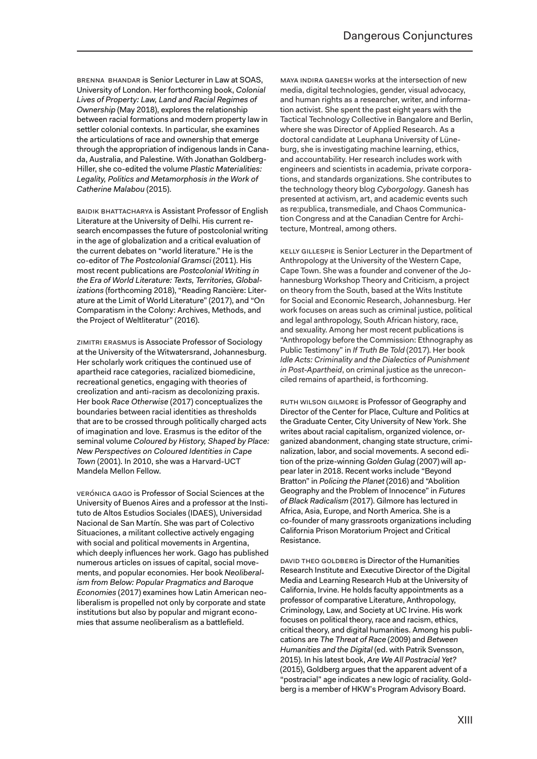Brenna Bhandar is Senior Lecturer in Law at SOAS, University of London. Her forthcoming book, *Colonial Lives of Property: Law, Land and Racial Regimes of Ownership* (May 2018), explores the relationship between racial formations and modern property law in settler colonial contexts. In particular, she examines the articulations of race and ownership that emerge through the appropriation of indigenous lands in Canada, Australia, and Palestine. With Jonathan Goldberg-Hiller, she co-edited the volume *Plastic Materialities: Legality, Politics and Metamorphosis in the Work of Catherine Malabou* (2015).

Baidik Bhattacharya is Assistant Professor of English Literature at the University of Delhi. His current research encompasses the future of postcolonial writing in the age of globalization and a critical evaluation of the current debates on "world literature." He is the co-editor of *The Postcolonial Gramsci* (2011). His most recent publications are *Postcolonial Writing in the Era of World Literature: Texts, Territories, Globalizations* (forthcoming 2018), "Reading Rancière: Literature at the Limit of World Literature" (2017), and "On Comparatism in the Colony: Archives, Methods, and the Project of Weltliteratur" (2016).

Zimitri Erasmus is Associate Professor of Sociology at the University of the Witwatersrand, Johannesburg. Her scholarly work critiques the continued use of apartheid race categories, racialized biomedicine, recreational genetics, engaging with theories of creolization and anti-racism as decolonizing praxis. Her book *Race Otherwise* (2017) conceptualizes the boundaries between racial identities as thresholds that are to be crossed through politically charged acts of imagination and love. Erasmus is the editor of the seminal volume *Coloured by History, Shaped by Place: New Perspectives on Coloured Identities in Cape Town* (2001). In 2010, she was a Harvard-UCT Mandela Mellon Fellow.

Verónica Gago is Professor of Social Sciences at the University of Buenos Aires and a professor at the Instituto de Altos Estudios Sociales (IDAES), Universidad Nacional de San Martín. She was part of Colectivo Situaciones, a militant collective actively engaging with social and political movements in Argentina, which deeply influences her work. Gago has published numerous articles on issues of capital, social movements, and popular economies. Her book *Neoliberalism from Below: Popular Pragmatics and Baroque Economies* (2017) examines how Latin American neoliberalism is propelled not only by corporate and state institutions but also by popular and migrant economies that assume neoliberalism as a battlefield.

Maya Indira Ganesh works at the intersection of new media, digital technologies, gender, visual advocacy, and human rights as a researcher, writer, and information activist. She spent the past eight years with the Tactical Technology Collective in Bangalore and Berlin, where she was Director of Applied Research. As a doctoral candidate at Leuphana University of Lüneburg, she is investigating machine learning, ethics, and accountability. Her research includes work with engineers and scientists in academia, private corporations, and standards organizations. She contributes to the technology theory blog *Cyborgology*. Ganesh has presented at activism, art, and academic events such as re:publica, transmediale, and Chaos Communication Congress and at the Canadian Centre for Architecture, Montreal, among others.

Kelly Gillespie is Senior Lecturer in the Department of Anthropology at the University of the Western Cape, Cape Town. She was a founder and convener of the Johannesburg Workshop Theory and Criticism, a project on theory from the South, based at the Wits Institute for Social and Economic Research, Johannesburg. Her work focuses on areas such as criminal justice, political and legal anthropology, South African history, race, and sexuality. Among her most recent publications is "Anthropology before the Commission: Ethnography as Public Testimony" in *If Truth Be Told* (2017). Her book *Idle Acts: Criminality and the Dialectics of Punishment in Post-Apartheid*, on criminal justice as the unreconciled remains of apartheid, is forthcoming.

RUTH WILSON GILMORE IS Professor of Geography and Director of the Center for Place, Culture and Politics at the Graduate Center, City University of New York. She writes about racial capitalism, organized violence, organized abandonment, changing state structure, criminalization, labor, and social movements. A second edition of the prize-winning *Golden Gulag* (2007) will appear later in 2018. Recent works include "Beyond Bratton" in *Policing the Planet* (2016) and "Abolition Geography and the Problem of Innocence" in *Futures of Black Radicalism* (2017). Gilmore has lectured in Africa, Asia, Europe, and North America. She is a co-founder of many grassroots organizations including California Prison Moratorium Project and Critical Resistance.

DAVID THEO GOLDBERG is Director of the Humanities Research Institute and Executive Director of the Digital Media and Learning Research Hub at the University of California, Irvine. He holds faculty appointments as a professor of comparative Literature, Anthropology, Criminology, Law, and Society at UC Irvine. His work focuses on political theory, race and racism, ethics, critical theory, and digital humanities. Among his publications are *The Threat of Race* (2009) and *Between Humanities and the Digital* (ed. with Patrik Svensson, 2015). In his latest book, *Are We All Postracial Yet?* (2015), Goldberg argues that the apparent advent of a "postracial" age indicates a new logic of raciality. Goldberg is a member of HKW's Program Advisory Board.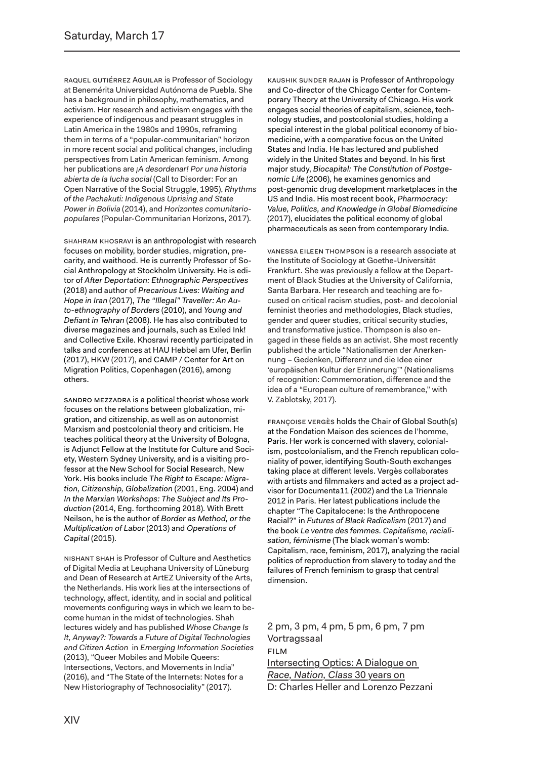raquel Gutiérrez Aguilar is Professor of Sociology at Benemérita Universidad Autónoma de Puebla. She has a background in philosophy, mathematics, and activism. Her research and activism engages with the experience of indigenous and peasant struggles in Latin America in the 1980s and 1990s, reframing them in terms of a "popular-communitarian" horizon in more recent social and political changes, including perspectives from Latin American feminism. Among her publications are *¡A desordenar! Por una historia abierta de la lucha social* (Call to Disorder: For an Open Narrative of the Social Struggle, 1995), *Rhythms of the Pachakuti: Indigenous Uprising and State Power in Bolivia* (2014), and *Horizontes comunitariopopulares* (Popular-Communitarian Horizons, 2017).

SHAHRAM KHOSRAVI is an anthropologist with research focuses on mobility, border studies, migration, precarity, and waithood. He is currently Professor of Social Anthropology at Stockholm University. He is editor of *After Deportation: Ethnographic Perspectives* (2018) and author of *Precarious Lives: Waiting and Hope in Iran* (2017), *The "Illegal" Traveller: An Auto-ethnography of Borders* (2010), and *Young and Defiant in Tehran* (2008). He has also contributed to diverse magazines and journals, such as Exiled Ink! and Collective Exile. Khosravi recently participated in talks and conferences at HAU Hebbel am Ufer, Berlin (2017), HKW (2017), and CAMP / Center for Art on Migration Politics, Copenhagen (2016), among others.

Sandro Mezzadra is a political theorist whose work focuses on the relations between globalization, migration, and citizenship, as well as on autonomist Marxism and postcolonial theory and criticism. He teaches political theory at the University of Bologna, is Adjunct Fellow at the Institute for Culture and Society, Western Sydney University, and is a visiting professor at the New School for Social Research, New York. His books include *The Right to Escape: Migration, Citizenship, Globalization* (2001, Eng. 2004) and *In the Marxian Workshops: The Subject and Its Production* (2014, Eng. forthcoming 2018). With Brett Neilson, he is the author of *Border as Method, or the Multiplication of Labor* (2013) and *Operations of Capital* (2015).

Nishant Shah is Professor of Culture and Aesthetics of Digital Media at Leuphana University of Lüneburg and Dean of Research at ArtEZ University of the Arts, the Netherlands. His work lies at the intersections of technology, affect, identity, and in social and political movements configuring ways in which we learn to become human in the midst of technologies. Shah lectures widely and has published *Whose Change Is It, Anyway?: Towards a Future of Digital Technologies and Citizen Action* in *Emerging Information Societies* (2013), "Queer Mobiles and Mobile Queers: Intersections, Vectors, and Movements in India" (2016), and "The State of the Internets: Notes for a New Historiography of Technosociality" (2017).

Kaushik Sunder Rajan is Professor of Anthropology and Co-director of the Chicago Center for Contemporary Theory at the University of Chicago. His work engages social theories of capitalism, science, technology studies, and postcolonial studies, holding a special interest in the global political economy of biomedicine, with a comparative focus on the United States and India. He has lectured and published widely in the United States and beyond. In his first major study, *Biocapital: The Constitution of Postgenomic Life* (2006), he examines genomics and post-genomic drug development marketplaces in the US and India. His most recent book, *Pharmocracy: Value, Politics, and Knowledge in Global Biomedicine* (2017), elucidates the political economy of global pharmaceuticals as seen from contemporary India.

Vanessa Eileen Thompson is a research associate at the Institute of Sociology at Goethe-Universität Frankfurt. She was previously a fellow at the Department of Black Studies at the University of California, Santa Barbara. Her research and teaching are focused on critical racism studies, post- and decolonial feminist theories and methodologies, Black studies, gender and queer studies, critical security studies, and transformative justice. Thompson is also engaged in these fields as an activist. She most recently published the article "Nationalismen der Anerkennung – Gedenken, Differenz und die Idee einer 'europäischen Kultur der Erinnerung'" (Nationalisms of recognition: Commemoration, difference and the idea of a "European culture of remembrance," with V. Zablotsky, 2017).

Françoise Vergès holds the Chair of Global South(s) at the Fondation Maison des sciences de l'homme, Paris. Her work is concerned with slavery, colonialism, postcolonialism, and the French republican coloniality of power, identifying South-South exchanges taking place at different levels. Vergès collaborates with artists and filmmakers and acted as a project advisor for Documenta11 (2002) and the La Triennale 2012 in Paris. Her latest publications include the chapter "The Capitalocene: Is the Anthropocene Racial?" in *Futures of Black Radicalism* (2017) and the book *Le ventre des femmes. Capitalisme, racialisation, féminisme* (The black woman's womb: Capitalism, race, feminism, 2017), analyzing the racial politics of reproduction from slavery to today and the failures of French feminism to grasp that central dimension.

2 pm, 3 pm, 4 pm, 5 pm, 6 pm, 7 pm Vortragssaal Film Intersecting Optics: A Dialogue on *Race, Nation, Class* 30 years on D: Charles Heller and Lorenzo Pezzani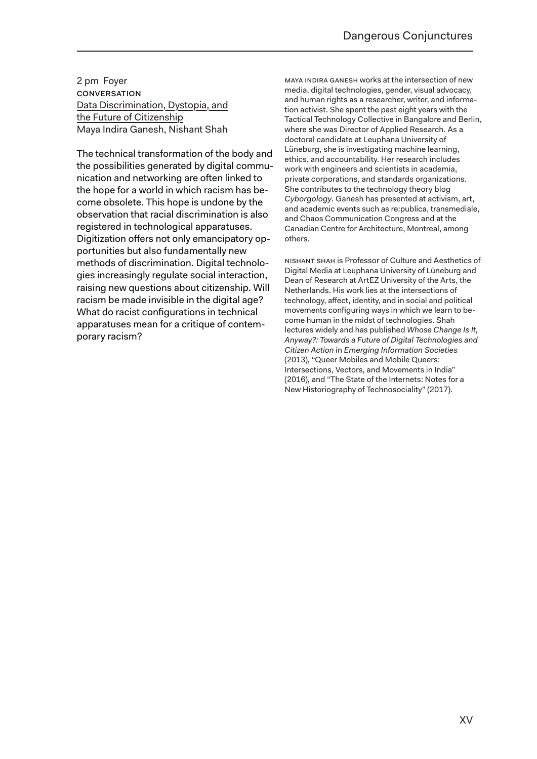2 pm Foyer **CONVERSATION** Data Discrimination, Dystopia, and the Future of Citizenship Maya Indira Ganesh, Nishant Shah

The technical transformation of the body and the possibilities generated by digital communication and networking are often linked to the hope for a world in which racism has become obsolete. This hope is undone by the observation that racial discrimination is also registered in technological apparatuses. Digitization offers not only emancipatory opportunities but also fundamentally new methods of discrimination. Digital technologies increasingly regulate social interaction, raising new questions about citizenship. Will racism be made invisible in the digital age? What do racist configurations in technical apparatuses mean for a critique of contemporary racism?

Maya Indira Ganesh works at the intersection of new media, digital technologies, gender, visual advocacy, and human rights as a researcher, writer, and information activist. She spent the past eight years with the Tactical Technology Collective in Bangalore and Berlin, where she was Director of Applied Research. As a doctoral candidate at Leuphana University of Lüneburg, she is investigating machine learning, ethics, and accountability. Her research includes work with engineers and scientists in academia, private corporations, and standards organizations. She contributes to the technology theory blog *Cyborgology*. Ganesh has presented at activism, art, and academic events such as re:publica, transmediale, and Chaos Communication Congress and at the Canadian Centre for Architecture, Montreal, among others*.*

Nishant Shah is Professor of Culture and Aesthetics of Digital Media at Leuphana University of Lüneburg and Dean of Research at ArtEZ University of the Arts, the Netherlands. His work lies at the intersections of technology, affect, identity, and in social and political movements configuring ways in which we learn to become human in the midst of technologies. Shah lectures widely and has published *Whose Change Is It, Anyway?: Towards a Future of Digital Technologies and Citizen Action* in *Emerging Information Societies* (2013), "Queer Mobiles and Mobile Queers: Intersections, Vectors, and Movements in India" (2016), and "The State of the Internets: Notes for a New Historiography of Technosociality" (2017).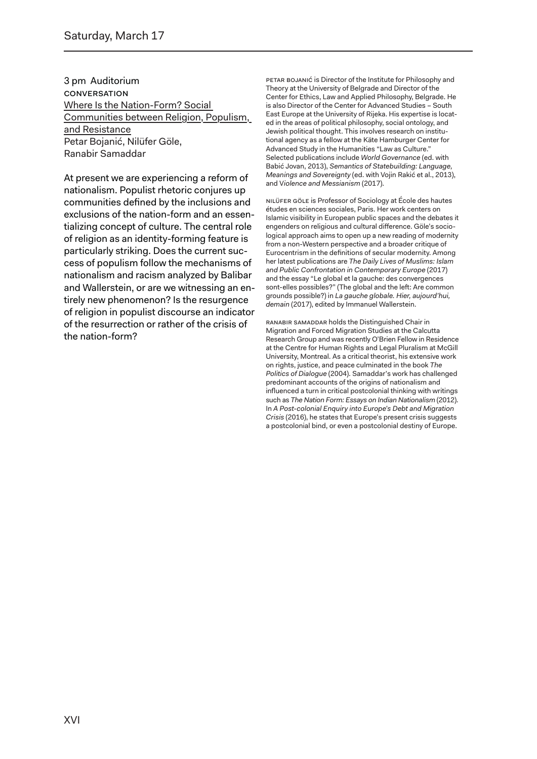3 pm Auditorium **CONVERSATION** Where Is the Nation-Form? Social Communities between Religion, Populism, and Resistance Petar Bojanić, Nilüfer Göle, Ranabir Samaddar

At present we are experiencing a reform of nationalism. Populist rhetoric conjures up communities defined by the inclusions and exclusions of the nation-form and an essentializing concept of culture. The central role of religion as an identity-forming feature is particularly striking. Does the current success of populism follow the mechanisms of nationalism and racism analyzed by Balibar and Wallerstein, or are we witnessing an entirely new phenomenon? Is the resurgence of religion in populist discourse an indicator of the resurrection or rather of the crisis of the nation-form?

PETAR BOJANIĆ is Director of the Institute for Philosophy and Theory at the University of Belgrade and Director of the Center for Ethics, Law and Applied Philosophy, Belgrade. He is also Director of the Center for Advanced Studies – South East Europe at the University of Rijeka. His expertise is located in the areas of political philosophy, social ontology, and Jewish political thought. This involves research on institutional agency as a fellow at the Käte Hamburger Center for Advanced Study in the Humanities "Law as Culture." Selected publications include *World Governance* (ed. with Babić Jovan, 2013), *Semantics of Statebuilding: Language, Meanings and Sovereignty* (ed. with Vojin Rakić et al., 2013), and V*iolence and Messianism* (2017).

Nilüfer Göle is Professor of Sociology at École des hautes études en sciences sociales, Paris. Her work centers on Islamic visibility in European public spaces and the debates it engenders on religious and cultural difference. Göle's sociological approach aims to open up a new reading of modernity from a non-Western perspective and a broader critique of Eurocentrism in the definitions of secular modernity. Among her latest publications are *The Daily Lives of Muslims: Islam and Public Confrontation in Contemporary Europe* (2017) and the essay "Le global et la gauche: des convergences sont-elles possibles?" (The global and the left: Are common grounds possible?) in *La gauche globale. Hier, aujourd'hui, demain* (2017), edited by Immanuel Wallerstein.

Ranabir Samaddar holds the Distinguished Chair in Migration and Forced Migration Studies at the Calcutta Research Group and was recently O'Brien Fellow in Residence at the Centre for Human Rights and Legal Pluralism at McGill University, Montreal. As a critical theorist, his extensive work on rights, justice, and peace culminated in the book *The Politics of Dialogue* (2004). Samaddar's work has challenged predominant accounts of the origins of nationalism and influenced a turn in critical postcolonial thinking with writings such as *The Nation Form: Essays on Indian Nationalism* (2012). In *A Post-colonial Enquiry into Europe's Debt and Migration Crisis* (2016), he states that Europe's present crisis suggests a postcolonial bind, or even a postcolonial destiny of Europe.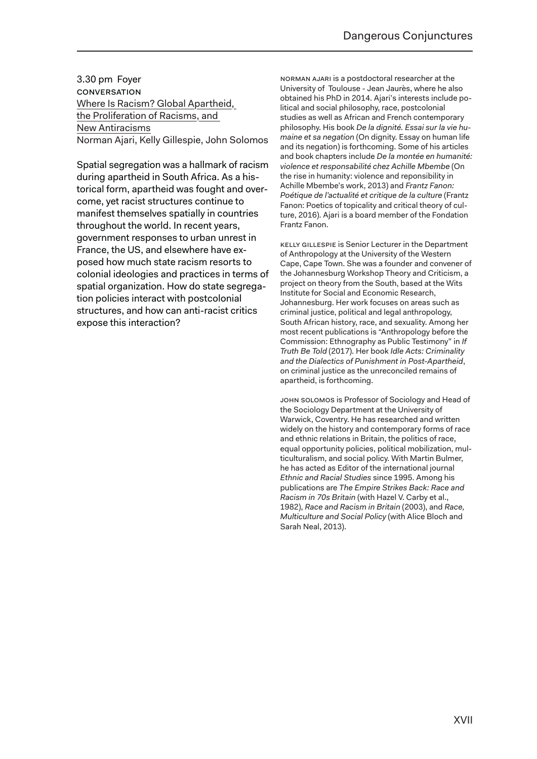3.30 pm Foyer conversation Where Is Racism? Global Apartheid, the Proliferation of Racisms, and New Antiracisms Norman Ajari, Kelly Gillespie, John Solomos

Spatial segregation was a hallmark of racism during apartheid in South Africa. As a historical form, apartheid was fought and overcome, yet racist structures continue to manifest themselves spatially in countries throughout the world. In recent years, government responses to urban unrest in France, the US, and elsewhere have exposed how much state racism resorts to colonial ideologies and practices in terms of spatial organization. How do state segregation policies interact with postcolonial structures, and how can anti-racist critics expose this interaction?

Norman Ajari is a postdoctoral researcher at the University of Toulouse - Jean Jaurès, where he also obtained his PhD in 2014. Ajari's interests include political and social philosophy, race, postcolonial studies as well as African and French contemporary philosophy. His book *De la dignité. Essai sur la vie humaine et sa negation* (On dignity. Essay on human life and its negation) is forthcoming. Some of his articles and book chapters include *De la montée en humanité: violence et responsabilité chez Achille Mbembe* (On the rise in humanity: violence and reponsibility in Achille Mbembe's work, 2013) and *Frantz Fanon: Poétique de l'actualité et critique de la culture* (Frantz Fanon: Poetics of topicality and critical theory of culture, 2016). Ajari is a board member of the Fondation Frantz Fanon.

Kelly Gillespie is Senior Lecturer in the Department of Anthropology at the University of the Western Cape, Cape Town. She was a founder and convener of the Johannesburg Workshop Theory and Criticism, a project on theory from the South, based at the Wits Institute for Social and Economic Research, Johannesburg. Her work focuses on areas such as criminal justice, political and legal anthropology, South African history, race, and sexuality. Among her most recent publications is "Anthropology before the Commission: Ethnography as Public Testimony" in *If Truth Be Told* (2017). Her book *Idle Acts: Criminality and the Dialectics of Punishment in Post-Apartheid*, on criminal justice as the unreconciled remains of apartheid, is forthcoming.

John Solomos is Professor of Sociology and Head of the Sociology Department at the University of Warwick, Coventry. He has researched and written widely on the history and contemporary forms of race and ethnic relations in Britain, the politics of race, equal opportunity policies, political mobilization, multiculturalism, and social policy. With Martin Bulmer, he has acted as Editor of the international journal *Ethnic and Racial Studies* since 1995. Among his publications are *The Empire Strikes Back: Race and Racism in 70s Britain* (with Hazel V. Carby et al., 1982), *Race and Racism in Britain* (2003), and *Race, Multiculture and Social Policy* (with Alice Bloch and Sarah Neal, 2013).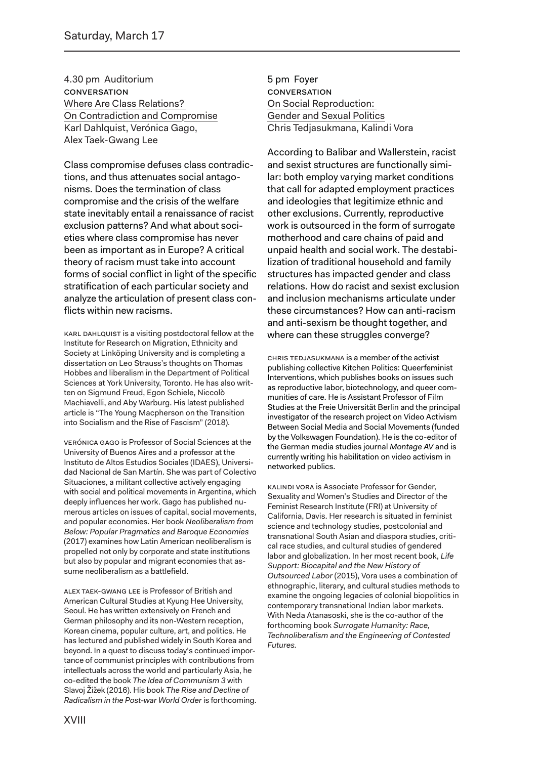4.30 pm Auditorium **CONVERSATION** Where Are Class Relations? On Contradiction and Compromise Karl Dahlquist, Verónica Gago, Alex Taek-Gwang Lee

Class compromise defuses class contradictions, and thus attenuates social antagonisms. Does the termination of class compromise and the crisis of the welfare state inevitably entail a renaissance of racist exclusion patterns? And what about societies where class compromise has never been as important as in Europe? A critical theory of racism must take into account forms of social conflict in light of the specific stratification of each particular society and analyze the articulation of present class conflicts within new racisms.

Karl Dahlquist is a visiting postdoctoral fellow at the Institute for Research on Migration, Ethnicity and Society at Linköping University and is completing a dissertation on Leo Strauss's thoughts on Thomas Hobbes and liberalism in the Department of Political Sciences at York University, Toronto. He has also written on Sigmund Freud, Egon Schiele, Niccolò Machiavelli, and Aby Warburg. His latest published article is "The Young Macpherson on the Transition into Socialism and the Rise of Fascism" (2018).

Verónica Gago is Professor of Social Sciences at the University of Buenos Aires and a professor at the Instituto de Altos Estudios Sociales (IDAES), Universidad Nacional de San Martín. She was part of Colectivo Situaciones, a militant collective actively engaging with social and political movements in Argentina, which deeply influences her work. Gago has published numerous articles on issues of capital, social movements, and popular economies. Her book *Neoliberalism from Below: Popular Pragmatics and Baroque Economies* (2017) examines how Latin American neoliberalism is propelled not only by corporate and state institutions but also by popular and migrant economies that assume neoliberalism as a battlefield.

Alex Taek-Gwang Lee is Professor of British and American Cultural Studies at Kyung Hee University, Seoul. He has written extensively on French and German philosophy and its non-Western reception, Korean cinema, popular culture, art, and politics. He has lectured and published widely in South Korea and beyond. In a quest to discuss today's continued importance of communist principles with contributions from intellectuals across the world and particularly Asia, he co-edited the book *The Idea of Communism 3* with Slavoj Žižek (2016). His book *The Rise and Decline of Radicalism in the Post-war World Order* is forthcoming. 5 pm Foyer **CONVERSATION** On Social Reproduction: Gender and Sexual Politics Chris Tedjasukmana, Kalindi Vora

According to Balibar and Wallerstein, racist and sexist structures are functionally similar: both employ varying market conditions that call for adapted employment practices and ideologies that legitimize ethnic and other exclusions. Currently, reproductive work is outsourced in the form of surrogate motherhood and care chains of paid and unpaid health and social work. The destabilization of traditional household and family structures has impacted gender and class relations. How do racist and sexist exclusion and inclusion mechanisms articulate under these circumstances? How can anti-racism and anti-sexism be thought together, and where can these struggles converge?

CHRIS TEDJASUKMANA is a member of the activist publishing collective Kitchen Politics: Queerfeminist Interventions, which publishes books on issues such as reproductive labor, biotechnology, and queer communities of care. He is Assistant Professor of Film Studies at the Freie Universität Berlin and the principal investigator of the research project on Video Activism Between Social Media and Social Movements (funded by the Volkswagen Foundation). He is the co-editor of the German media studies journal *Montage AV* and is currently writing his habilitation on video activism in networked publics.

Kalindi Vora is Associate Professor for Gender, Sexuality and Women's Studies and Director of the Feminist Research Institute (FRI) at University of California, Davis. Her research is situated in feminist science and technology studies, postcolonial and transnational South Asian and diaspora studies, critical race studies, and cultural studies of gendered labor and globalization. In her most recent book, *Life Support: Biocapital and the New History of Outsourced Labor* (2015), Vora uses a combination of ethnographic, literary, and cultural studies methods to examine the ongoing legacies of colonial biopolitics in contemporary transnational Indian labor markets. With Neda Atanasoski, she is the co-author of the forthcoming book *Surrogate Humanity: Race, Technoliberalism and the Engineering of Contested Futures.*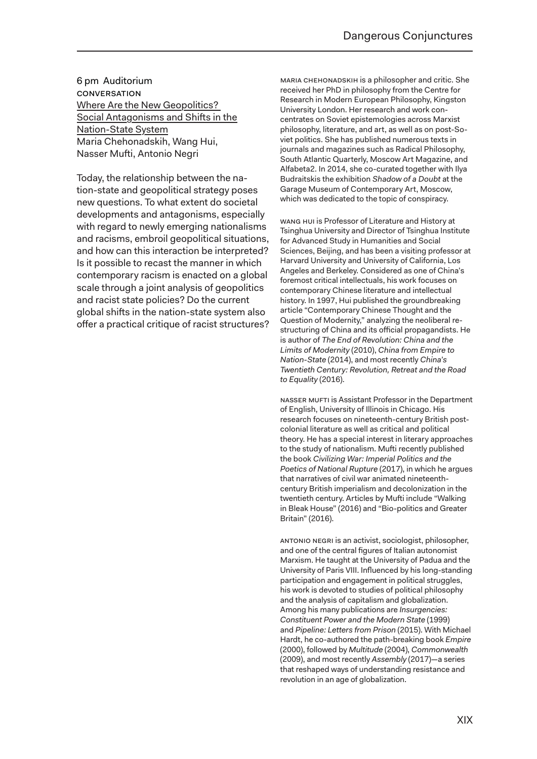6 pm Auditorium conversation Where Are the New Geopolitics? Social Antagonisms and Shifts in the Nation-State System Maria Chehonadskih, Wang Hui, Nasser Mufti, Antonio Negri

Today, the relationship between the nation-state and geopolitical strategy poses new questions. To what extent do societal developments and antagonisms, especially with regard to newly emerging nationalisms and racisms, embroil geopolitical situations, and how can this interaction be interpreted? Is it possible to recast the manner in which contemporary racism is enacted on a global scale through a joint analysis of geopolitics and racist state policies? Do the current global shifts in the nation-state system also offer a practical critique of racist structures?

MARIA CHEHONADSKIH is a philosopher and critic. She received her PhD in philosophy from the Centre for Research in Modern European Philosophy, Kingston University London. Her research and work concentrates on Soviet epistemologies across Marxist philosophy, literature, and art, as well as on post-Soviet politics. She has published numerous texts in journals and magazines such as Radical Philosophy, South Atlantic Quarterly, Moscow Art Magazine, and Alfabeta2. In 2014, she co-curated together with Ilya Budraitskis the exhibition *Shadow of a Doubt* at the Garage Museum of Contemporary Art, Moscow, which was dedicated to the topic of conspiracy.

Wang Hui is Professor of Literature and History at Tsinghua University and Director of Tsinghua Institute for Advanced Study in Humanities and Social Sciences, Beijing, and has been a visiting professor at Harvard University and University of California, Los Angeles and Berkeley. Considered as one of China's foremost critical intellectuals, his work focuses on contemporary Chinese literature and intellectual history. In 1997, Hui published the groundbreaking article "Contemporary Chinese Thought and the Question of Modernity," analyzing the neoliberal restructuring of China and its official propagandists. He is author of *The End of Revolution: China and the Limits of Modernity* (2010), *China from Empire to Nation-State* (2014), and most recently *China's Twentieth Century: Revolution, Retreat and the Road to Equality* (2016).

NASSER MUFTI is Assistant Professor in the Department of English, University of Illinois in Chicago. His research focuses on nineteenth-century British postcolonial literature as well as critical and political theory. He has a special interest in literary approaches to the study of nationalism. Mufti recently published the book *Civilizing War: Imperial Politics and the Poetics of National Rupture* (2017), in which he argues that narratives of civil war animated nineteenthcentury British imperialism and decolonization in the twentieth century. Articles by Mufti include "Walking in Bleak House" (2016) and "Bio-politics and Greater Britain" (2016).

Antonio Negri is an activist, sociologist, philosopher, and one of the central figures of Italian autonomist Marxism. He taught at the University of Padua and the University of Paris VIII. Influenced by his long-standing participation and engagement in political struggles, his work is devoted to studies of political philosophy and the analysis of capitalism and globalization. Among his many publications are *Insurgencies: Constituent Power and the Modern State* (1999) and *Pipeline: Letters from Prison* (2015). With Michael Hardt, he co-authored the path-breaking book *Empire*  (2000), followed by *Multitude* (2004), *Commonwealth* (2009), and most recently *Assembly* (2017)—a series that reshaped ways of understanding resistance and revolution in an age of globalization.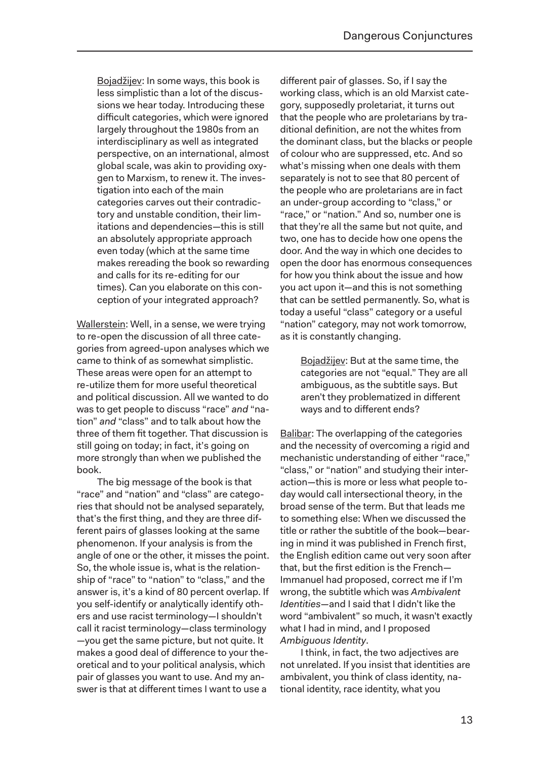Bojadžijev: In some ways, this book is less simplistic than a lot of the discussions we hear today. Introducing these difficult categories, which were ignored largely throughout the 1980s from an interdisciplinary as well as integrated perspective, on an international, almost global scale, was akin to providing oxygen to Marxism, to renew it. The investigation into each of the main categories carves out their contradictory and unstable condition, their limitations and dependencies—this is still an absolutely appropriate approach even today (which at the same time makes rereading the book so rewarding and calls for its re-editing for our times). Can you elaborate on this conception of your integrated approach?

Wallerstein: Well, in a sense, we were trying to re-open the discussion of all three categories from agreed-upon analyses which we came to think of as somewhat simplistic. These areas were open for an attempt to re-utilize them for more useful theoretical and political discussion. All we wanted to do was to get people to discuss "race" *and* "nation" *and* "class" and to talk about how the three of them fit together. That discussion is still going on today; in fact, it's going on more strongly than when we published the book.

The big message of the book is that "race" and "nation" and "class" are categories that should not be analysed separately, that's the first thing, and they are three different pairs of glasses looking at the same phenomenon. If your analysis is from the angle of one or the other, it misses the point. So, the whole issue is, what is the relationship of "race" to "nation" to "class," and the answer is, it's a kind of 80 percent overlap. If you self-identify or analytically identify others and use racist terminology—I shouldn't call it racist terminology—class terminology —you get the same picture, but not quite. It makes a good deal of difference to your theoretical and to your political analysis, which pair of glasses you want to use. And my answer is that at different times I want to use a

different pair of glasses. So, if I say the working class, which is an old Marxist category, supposedly proletariat, it turns out that the people who are proletarians by traditional definition, are not the whites from the dominant class, but the blacks or people of colour who are suppressed, etc. And so what's missing when one deals with them separately is not to see that 80 percent of the people who are proletarians are in fact an under-group according to "class," or "race," or "nation." And so, number one is that they're all the same but not quite, and two, one has to decide how one opens the door. And the way in which one decides to open the door has enormous consequences for how you think about the issue and how you act upon it—and this is not something that can be settled permanently. So, what is today a useful "class" category or a useful "nation" category, may not work tomorrow, as it is constantly changing.

> Bojadžijev: But at the same time, the categories are not "equal." They are all ambiguous, as the subtitle says. But aren't they problematized in different ways and to different ends?

Balibar: The overlapping of the categories and the necessity of overcoming a rigid and mechanistic understanding of either "race," "class," or "nation" and studying their interaction—this is more or less what people today would call intersectional theory, in the broad sense of the term. But that leads me to something else: When we discussed the title or rather the subtitle of the book—bearing in mind it was published in French first, the English edition came out very soon after that, but the first edition is the French— Immanuel had proposed, correct me if I'm wrong, the subtitle which was *Ambivalent Identities*—and I said that I didn't like the word "ambivalent" so much, it wasn't exactly what I had in mind, and I proposed *Ambiguous Identity*.

I think, in fact, the two adjectives are not unrelated. If you insist that identities are ambivalent, you think of class identity, national identity, race identity, what you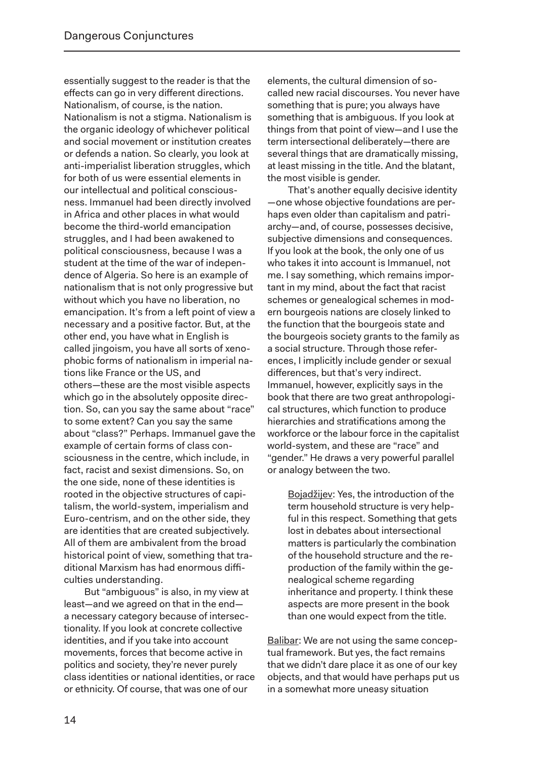essentially suggest to the reader is that the effects can go in very different directions. Nationalism, of course, is the nation. Nationalism is not a stigma. Nationalism is the organic ideology of whichever political and social movement or institution creates or defends a nation. So clearly, you look at anti-imperialist liberation struggles, which for both of us were essential elements in our intellectual and political consciousness. Immanuel had been directly involved in Africa and other places in what would become the third-world emancipation struggles, and I had been awakened to political consciousness, because I was a student at the time of the war of independence of Algeria. So here is an example of nationalism that is not only progressive but without which you have no liberation, no emancipation. It's from a left point of view a necessary and a positive factor. But, at the other end, you have what in English is called jingoism, you have all sorts of xenophobic forms of nationalism in imperial nations like France or the US, and others—these are the most visible aspects which go in the absolutely opposite direction. So, can you say the same about "race" to some extent? Can you say the same about "class?" Perhaps. Immanuel gave the example of certain forms of class consciousness in the centre, which include, in fact, racist and sexist dimensions. So, on the one side, none of these identities is rooted in the objective structures of capitalism, the world-system, imperialism and Euro-centrism, and on the other side, they are identities that are created subjectively. All of them are ambivalent from the broad historical point of view, something that traditional Marxism has had enormous difficulties understanding.

But "ambiguous" is also, in my view at least—and we agreed on that in the end a necessary category because of intersectionality. If you look at concrete collective identities, and if you take into account movements, forces that become active in politics and society, they're never purely class identities or national identities, or race or ethnicity. Of course, that was one of our

elements, the cultural dimension of socalled new racial discourses. You never have something that is pure; you always have something that is ambiguous. If you look at things from that point of view—and I use the term intersectional deliberately—there are several things that are dramatically missing, at least missing in the title. And the blatant, the most visible is gender.

That's another equally decisive identity —one whose objective foundations are perhaps even older than capitalism and patriarchy—and, of course, possesses decisive, subjective dimensions and consequences. If you look at the book, the only one of us who takes it into account is Immanuel, not me. I say something, which remains important in my mind, about the fact that racist schemes or genealogical schemes in modern bourgeois nations are closely linked to the function that the bourgeois state and the bourgeois society grants to the family as a social structure. Through those references, I implicitly include gender or sexual differences, but that's very indirect. Immanuel, however, explicitly says in the book that there are two great anthropological structures, which function to produce hierarchies and stratifications among the workforce or the labour force in the capitalist world-system, and these are "race" and "gender." He draws a very powerful parallel or analogy between the two.

Bojadžijev: Yes, the introduction of the term household structure is very helpful in this respect. Something that gets lost in debates about intersectional matters is particularly the combination of the household structure and the reproduction of the family within the genealogical scheme regarding inheritance and property. I think these aspects are more present in the book than one would expect from the title.

Balibar: We are not using the same conceptual framework. But yes, the fact remains that we didn't dare place it as one of our key objects, and that would have perhaps put us in a somewhat more uneasy situation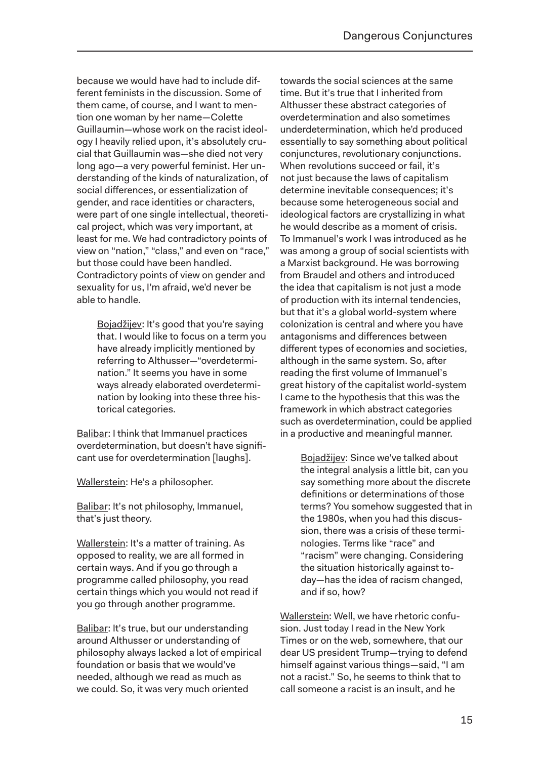because we would have had to include different feminists in the discussion. Some of them came, of course, and I want to mention one woman by her name—Colette Guillaumin—whose work on the racist ideology I heavily relied upon, it's absolutely crucial that Guillaumin was—she died not very long ago—a very powerful feminist. Her understanding of the kinds of naturalization, of social differences, or essentialization of gender, and race identities or characters, were part of one single intellectual, theoretical project, which was very important, at least for me. We had contradictory points of view on "nation," "class," and even on "race," but those could have been handled. Contradictory points of view on gender and sexuality for us, I'm afraid, we'd never be able to handle.

> Bojadžijev: It's good that you're saying that. I would like to focus on a term you have already implicitly mentioned by referring to Althusser—"overdetermination." It seems you have in some ways already elaborated overdetermination by looking into these three historical categories.

Balibar: I think that Immanuel practices overdetermination, but doesn't have significant use for overdetermination [laughs].

Wallerstein: He's a philosopher.

Balibar: It's not philosophy, Immanuel, that's just theory.

Wallerstein: It's a matter of training. As opposed to reality, we are all formed in certain ways. And if you go through a programme called philosophy, you read certain things which you would not read if you go through another programme.

Balibar: It's true, but our understanding around Althusser or understanding of philosophy always lacked a lot of empirical foundation or basis that we would've needed, although we read as much as we could. So, it was very much oriented

towards the social sciences at the same time. But it's true that I inherited from Althusser these abstract categories of overdetermination and also sometimes underdetermination, which he'd produced essentially to say something about political conjunctures, revolutionary conjunctions. When revolutions succeed or fail, it's not just because the laws of capitalism determine inevitable consequences; it's because some heterogeneous social and ideological factors are crystallizing in what he would describe as a moment of crisis. To Immanuel's work I was introduced as he was among a group of social scientists with a Marxist background. He was borrowing from Braudel and others and introduced the idea that capitalism is not just a mode of production with its internal tendencies, but that it's a global world-system where colonization is central and where you have antagonisms and differences between different types of economies and societies, although in the same system. So, after reading the first volume of Immanuel's great history of the capitalist world-system I came to the hypothesis that this was the framework in which abstract categories such as overdetermination, could be applied in a productive and meaningful manner.

> Bojadžijev: Since we've talked about the integral analysis a little bit, can you say something more about the discrete definitions or determinations of those terms? You somehow suggested that in the 1980s, when you had this discussion, there was a crisis of these terminologies. Terms like "race" and "racism" were changing. Considering the situation historically against today—has the idea of racism changed, and if so, how?

Wallerstein: Well, we have rhetoric confusion. Just today I read in the New York Times or on the web, somewhere, that our dear US president Trump—trying to defend himself against various things—said, "I am not a racist." So, he seems to think that to call someone a racist is an insult, and he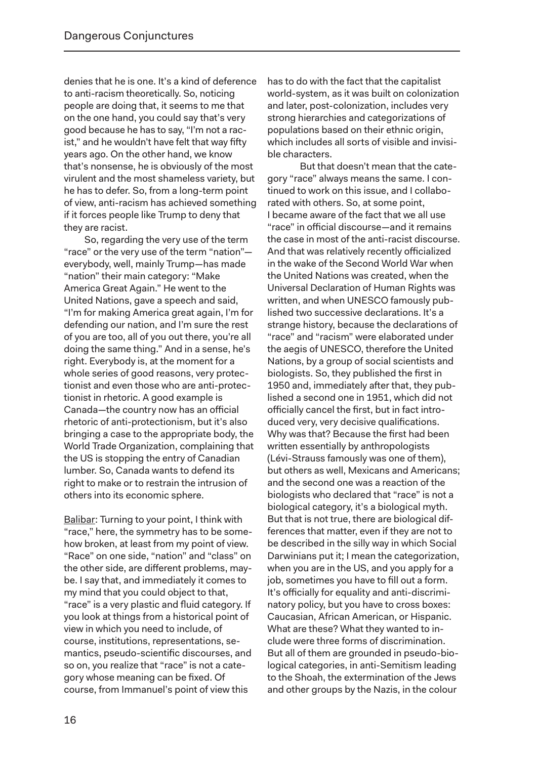denies that he is one. It's a kind of deference to anti-racism theoretically. So, noticing people are doing that, it seems to me that on the one hand, you could say that's very good because he has to say, "I'm not a racist," and he wouldn't have felt that way fifty years ago. On the other hand, we know that's nonsense, he is obviously of the most virulent and the most shameless variety, but he has to defer. So, from a long-term point of view, anti-racism has achieved something if it forces people like Trump to deny that they are racist.

So, regarding the very use of the term "race" or the very use of the term "nation" everybody, well, mainly Trump—has made "nation" their main category: "Make America Great Again." He went to the United Nations, gave a speech and said, "I'm for making America great again, I'm for defending our nation, and I'm sure the rest of you are too, all of you out there, you're all doing the same thing." And in a sense, he's right. Everybody is, at the moment for a whole series of good reasons, very protectionist and even those who are anti-protectionist in rhetoric. A good example is Canada—the country now has an official rhetoric of anti-protectionism, but it's also bringing a case to the appropriate body, the World Trade Organization, complaining that the US is stopping the entry of Canadian lumber. So, Canada wants to defend its right to make or to restrain the intrusion of others into its economic sphere.

Balibar: Turning to your point, I think with "race," here, the symmetry has to be somehow broken, at least from my point of view. "Race" on one side, "nation" and "class" on the other side, are different problems, maybe. I say that, and immediately it comes to my mind that you could object to that, "race" is a very plastic and fluid category. If you look at things from a historical point of view in which you need to include, of course, institutions, representations, semantics, pseudo-scientific discourses, and so on, you realize that "race" is not a category whose meaning can be fixed. Of course, from Immanuel's point of view this

has to do with the fact that the capitalist world-system, as it was built on colonization and later, post-colonization, includes very strong hierarchies and categorizations of populations based on their ethnic origin, which includes all sorts of visible and invisible characters.

But that doesn't mean that the category "race" always means the same. I continued to work on this issue, and I collaborated with others. So, at some point, I became aware of the fact that we all use "race" in official discourse—and it remains the case in most of the anti-racist discourse. And that was relatively recently officialized in the wake of the Second World War when the United Nations was created, when the Universal Declaration of Human Rights was written, and when UNESCO famously published two successive declarations. It's a strange history, because the declarations of "race" and "racism" were elaborated under the aegis of UNESCO, therefore the United Nations, by a group of social scientists and biologists. So, they published the first in 1950 and, immediately after that, they published a second one in 1951, which did not officially cancel the first, but in fact introduced very, very decisive qualifications. Why was that? Because the first had been written essentially by anthropologists (Lévi-Strauss famously was one of them), but others as well, Mexicans and Americans; and the second one was a reaction of the biologists who declared that "race" is not a biological category, it's a biological myth. But that is not true, there are biological differences that matter, even if they are not to be described in the silly way in which Social Darwinians put it; I mean the categorization, when you are in the US, and you apply for a job, sometimes you have to fill out a form. It's officially for equality and anti-discriminatory policy, but you have to cross boxes: Caucasian, African American, or Hispanic. What are these? What they wanted to include were three forms of discrimination. But all of them are grounded in pseudo-biological categories, in anti-Semitism leading to the Shoah, the extermination of the Jews and other groups by the Nazis, in the colour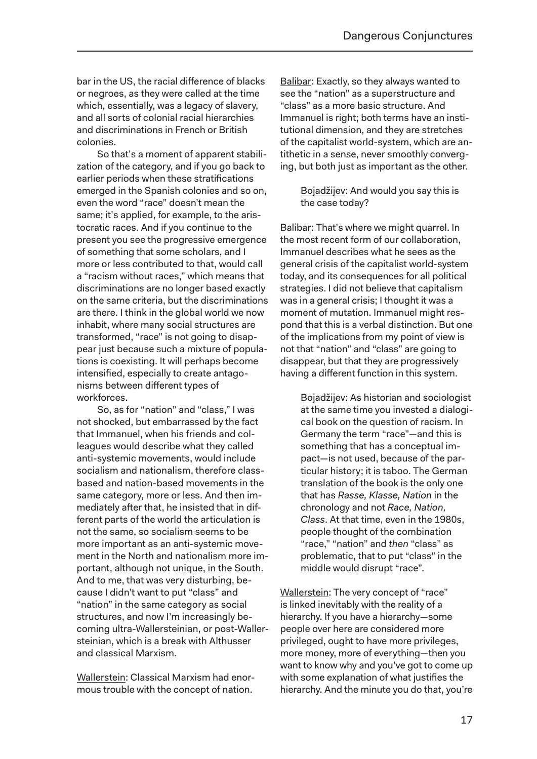bar in the US, the racial difference of blacks or negroes, as they were called at the time which, essentially, was a legacy of slavery. and all sorts of colonial racial hierarchies and discriminations in French or British colonies.

So that's a moment of apparent stabilization of the category, and if you go back to earlier periods when these stratifications emerged in the Spanish colonies and so on, even the word "race" doesn't mean the same; it's applied, for example, to the aristocratic races. And if you continue to the present you see the progressive emergence of something that some scholars, and I more or less contributed to that, would call a "racism without races," which means that discriminations are no longer based exactly on the same criteria, but the discriminations are there. I think in the global world we now inhabit, where many social structures are transformed, "race" is not going to disappear just because such a mixture of populations is coexisting. It will perhaps become intensified, especially to create antagonisms between different types of workforces.

So, as for "nation" and "class," I was not shocked, but embarrassed by the fact that Immanuel, when his friends and colleagues would describe what they called anti-systemic movements, would include socialism and nationalism, therefore classbased and nation-based movements in the same category, more or less. And then immediately after that, he insisted that in different parts of the world the articulation is not the same, so socialism seems to be more important as an anti-systemic movement in the North and nationalism more important, although not unique, in the South. And to me, that was very disturbing, because I didn't want to put "class" and "nation" in the same category as social structures, and now I'm increasingly becoming ultra-Wallersteinian, or post-Wallersteinian, which is a break with Althusser and classical Marxism.

Wallerstein: Classical Marxism had enormous trouble with the concept of nation.

Balibar: Exactly, so they always wanted to see the "nation" as a superstructure and "class" as a more basic structure. And Immanuel is right; both terms have an institutional dimension, and they are stretches of the capitalist world-system, which are antithetic in a sense, never smoothly converging, but both just as important as the other.

> Bojadžijev: And would you say this is the case today?

Balibar: That's where we might quarrel. In the most recent form of our collaboration, Immanuel describes what he sees as the general crisis of the capitalist world-system today, and its consequences for all political strategies. I did not believe that capitalism was in a general crisis; I thought it was a moment of mutation. Immanuel might respond that this is a verbal distinction. But one of the implications from my point of view is not that "nation" and "class" are going to disappear, but that they are progressively having a different function in this system.

> Bojadžijev: As historian and sociologist at the same time you invested a dialogical book on the question of racism. In Germany the term "race"—and this is something that has a conceptual impact—is not used, because of the particular history; it is taboo. The German translation of the book is the only one that has *Rasse, Klasse, Nation* in the chronology and not *Race, Nation, Class*. At that time, even in the 1980s, people thought of the combination "race," "nation" and *then* "class" as problematic, that to put "class" in the middle would disrupt "race".

Wallerstein: The very concept of "race" is linked inevitably with the reality of a hierarchy. If you have a hierarchy—some people over here are considered more privileged, ought to have more privileges, more money, more of everything—then you want to know why and you've got to come up with some explanation of what justifies the hierarchy. And the minute you do that, you're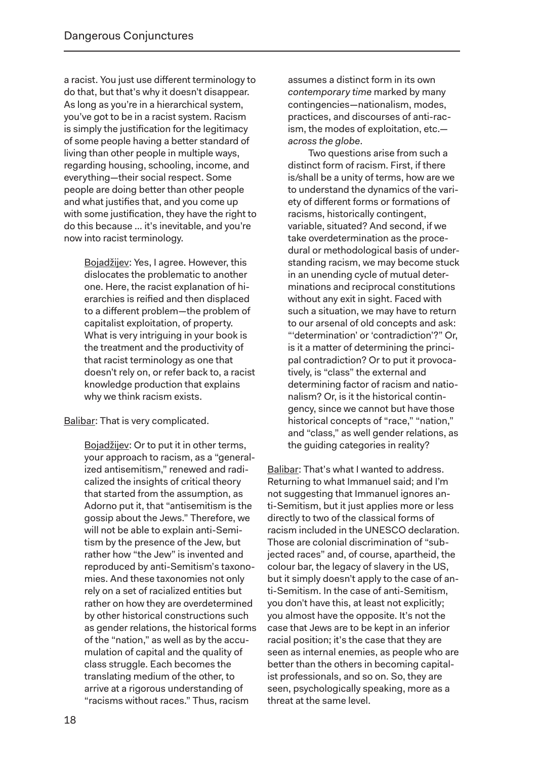a racist. You just use different terminology to do that, but that's why it doesn't disappear. As long as you're in a hierarchical system, you've got to be in a racist system. Racism is simply the justification for the legitimacy of some people having a better standard of living than other people in multiple ways, regarding housing, schooling, income, and everything—their social respect. Some people are doing better than other people and what justifies that, and you come up with some justification, they have the right to do this because … it's inevitable, and you're now into racist terminology.

> Bojadžijev: Yes, I agree. However, this dislocates the problematic to another one. Here, the racist explanation of hierarchies is reified and then displaced to a different problem—the problem of capitalist exploitation, of property. What is very intriguing in your book is the treatment and the productivity of that racist terminology as one that doesn't rely on, or refer back to, a racist knowledge production that explains why we think racism exists.

Balibar: That is very complicated.

Bojadžijev: Or to put it in other terms, your approach to racism, as a "generalized antisemitism," renewed and radicalized the insights of critical theory that started from the assumption, as Adorno put it, that "antisemitism is the gossip about the Jews." Therefore, we will not be able to explain anti-Semitism by the presence of the Jew, but rather how "the Jew" is invented and reproduced by anti-Semitism's taxonomies. And these taxonomies not only rely on a set of racialized entities but rather on how they are overdetermined by other historical constructions such as gender relations, the historical forms of the "nation," as well as by the accumulation of capital and the quality of class struggle. Each becomes the translating medium of the other, to arrive at a rigorous understanding of "racisms without races." Thus, racism

assumes a distinct form in its own *contemporary time* marked by many contingencies—nationalism, modes, practices, and discourses of anti-racism, the modes of exploitation, etc. *across the globe*.

Two questions arise from such a distinct form of racism. First, if there is/shall be a unity of terms, how are we to understand the dynamics of the variety of different forms or formations of racisms, historically contingent, variable, situated? And second, if we take overdetermination as the procedural or methodological basis of understanding racism, we may become stuck in an unending cycle of mutual determinations and reciprocal constitutions without any exit in sight. Faced with such a situation, we may have to return to our arsenal of old concepts and ask: "'determination' or 'contradiction'?" Or, is it a matter of determining the principal contradiction? Or to put it provocatively, is "class" the external and determining factor of racism and nationalism? Or, is it the historical contingency, since we cannot but have those historical concepts of "race," "nation," and "class," as well gender relations, as the guiding categories in reality?

Balibar: That's what I wanted to address. Returning to what Immanuel said; and I'm not suggesting that Immanuel ignores anti-Semitism, but it just applies more or less directly to two of the classical forms of racism included in the UNESCO declaration. Those are colonial discrimination of "subjected races" and, of course, apartheid, the colour bar, the legacy of slavery in the US, but it simply doesn't apply to the case of anti-Semitism. In the case of anti-Semitism, you don't have this, at least not explicitly; you almost have the opposite. It's not the case that Jews are to be kept in an inferior racial position; it's the case that they are seen as internal enemies, as people who are better than the others in becoming capitalist professionals, and so on. So, they are seen, psychologically speaking, more as a threat at the same level.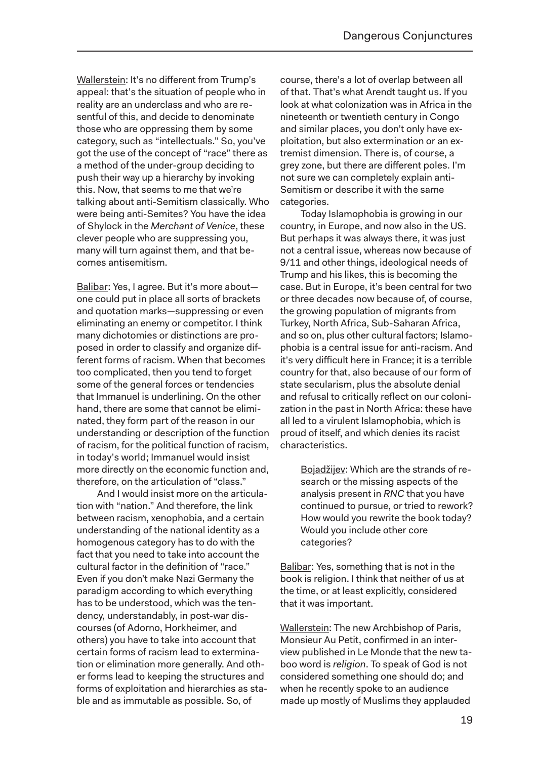Wallerstein: It's no different from Trump's appeal: that's the situation of people who in reality are an underclass and who are resentful of this, and decide to denominate those who are oppressing them by some category, such as "intellectuals." So, you've got the use of the concept of "race" there as a method of the under-group deciding to push their way up a hierarchy by invoking this. Now, that seems to me that we're talking about anti-Semitism classically. Who were being anti-Semites? You have the idea of Shylock in the *Merchant of Venice*, these clever people who are suppressing you, many will turn against them, and that becomes antisemitism.

Balibar: Yes, I agree. But it's more about one could put in place all sorts of brackets and quotation marks—suppressing or even eliminating an enemy or competitor. I think many dichotomies or distinctions are proposed in order to classify and organize different forms of racism. When that becomes too complicated, then you tend to forget some of the general forces or tendencies that Immanuel is underlining. On the other hand, there are some that cannot be eliminated, they form part of the reason in our understanding or description of the function of racism, for the political function of racism, in today's world; Immanuel would insist more directly on the economic function and, therefore, on the articulation of "class."

And I would insist more on the articulation with "nation." And therefore, the link between racism, xenophobia, and a certain understanding of the national identity as a homogenous category has to do with the fact that you need to take into account the cultural factor in the definition of "race." Even if you don't make Nazi Germany the paradigm according to which everything has to be understood, which was the tendency, understandably, in post-war discourses (of Adorno, Horkheimer, and others) you have to take into account that certain forms of racism lead to extermination or elimination more generally. And other forms lead to keeping the structures and forms of exploitation and hierarchies as stable and as immutable as possible. So, of

course, there's a lot of overlap between all of that. That's what Arendt taught us. If you look at what colonization was in Africa in the nineteenth or twentieth century in Congo and similar places, you don't only have exploitation, but also extermination or an extremist dimension. There is, of course, a grey zone, but there are different poles. I'm not sure we can completely explain anti-Semitism or describe it with the same categories.

Today Islamophobia is growing in our country, in Europe, and now also in the US. But perhaps it was always there, it was just not a central issue, whereas now because of 9/11 and other things, ideological needs of Trump and his likes, this is becoming the case. But in Europe, it's been central for two or three decades now because of, of course, the growing population of migrants from Turkey, North Africa, Sub-Saharan Africa, and so on, plus other cultural factors; Islamophobia is a central issue for anti-racism. And it's very difficult here in France; it is a terrible country for that, also because of our form of state secularism, plus the absolute denial and refusal to critically reflect on our colonization in the past in North Africa: these have all led to a virulent Islamophobia, which is proud of itself, and which denies its racist characteristics.

> Bojadžijev: Which are the strands of research or the missing aspects of the analysis present in *RNC* that you have continued to pursue, or tried to rework? How would you rewrite the book today? Would you include other core categories?

Balibar: Yes, something that is not in the book is religion. I think that neither of us at the time, or at least explicitly, considered that it was important.

Wallerstein: The new Archbishop of Paris, Monsieur Au Petit, confirmed in an interview published in Le Monde that the new taboo word is *religion*. To speak of God is not considered something one should do; and when he recently spoke to an audience made up mostly of Muslims they applauded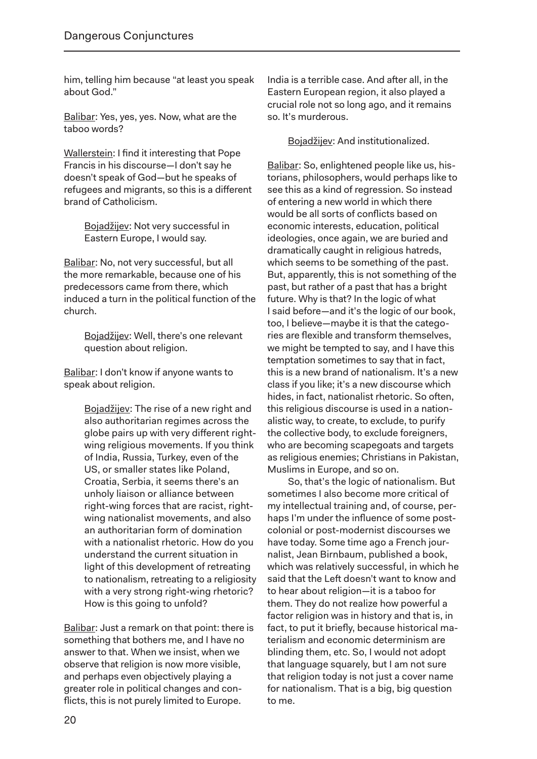him, telling him because "at least you speak about God."

Balibar: Yes, yes, yes. Now, what are the taboo words?

Wallerstein: I find it interesting that Pope Francis in his discourse—I don't say he doesn't speak of God—but he speaks of refugees and migrants, so this is a different brand of Catholicism.

> Bojadžijev: Not very successful in Eastern Europe, I would say.

Balibar: No, not very successful, but all the more remarkable, because one of his predecessors came from there, which induced a turn in the political function of the church.

> Bojadžijev: Well, there's one relevant question about religion.

Balibar: I don't know if anyone wants to speak about religion.

> Bojadžijev: The rise of a new right and also authoritarian regimes across the globe pairs up with very different rightwing religious movements. If you think of India, Russia, Turkey, even of the US, or smaller states like Poland, Croatia, Serbia, it seems there's an unholy liaison or alliance between right-wing forces that are racist, rightwing nationalist movements, and also an authoritarian form of domination with a nationalist rhetoric. How do you understand the current situation in light of this development of retreating to nationalism, retreating to a religiosity with a very strong right-wing rhetoric? How is this going to unfold?

Balibar: Just a remark on that point: there is something that bothers me, and I have no answer to that. When we insist, when we observe that religion is now more visible, and perhaps even objectively playing a greater role in political changes and conflicts, this is not purely limited to Europe.

India is a terrible case. And after all, in the Eastern European region, it also played a crucial role not so long ago, and it remains so. It's murderous.

Bojadžijev: And institutionalized.

Balibar: So, enlightened people like us, historians, philosophers, would perhaps like to see this as a kind of regression. So instead of entering a new world in which there would be all sorts of conflicts based on economic interests, education, political ideologies, once again, we are buried and dramatically caught in religious hatreds, which seems to be something of the past. But, apparently, this is not something of the past, but rather of a past that has a bright future. Why is that? In the logic of what I said before—and it's the logic of our book, too, I believe—maybe it is that the categories are flexible and transform themselves, we might be tempted to say, and I have this temptation sometimes to say that in fact, this is a new brand of nationalism. It's a new class if you like; it's a new discourse which hides, in fact, nationalist rhetoric. So often, this religious discourse is used in a nationalistic way, to create, to exclude, to purify the collective body, to exclude foreigners, who are becoming scapegoats and targets as religious enemies; Christians in Pakistan, Muslims in Europe, and so on.

So, that's the logic of nationalism. But sometimes I also become more critical of my intellectual training and, of course, perhaps I'm under the influence of some postcolonial or post-modernist discourses we have today. Some time ago a French journalist, Jean Birnbaum, published a book, which was relatively successful, in which he said that the Left doesn't want to know and to hear about religion—it is a taboo for them. They do not realize how powerful a factor religion was in history and that is, in fact, to put it briefly, because historical materialism and economic determinism are blinding them, etc. So, I would not adopt that language squarely, but I am not sure that religion today is not just a cover name for nationalism. That is a big, big question to me.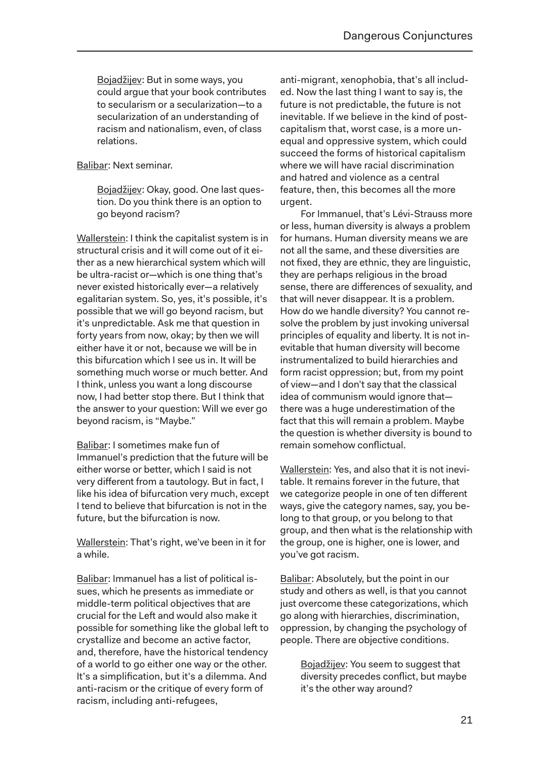Bojadžijev: But in some ways, you could argue that your book contributes to secularism or a secularization—to a secularization of an understanding of racism and nationalism, even, of class relations.

#### Balibar: Next seminar.

Bojadžijev: Okay, good. One last question. Do you think there is an option to go beyond racism?

Wallerstein: I think the capitalist system is in structural crisis and it will come out of it either as a new hierarchical system which will be ultra-racist or—which is one thing that's never existed historically ever—a relatively egalitarian system. So, yes, it's possible, it's possible that we will go beyond racism, but it's unpredictable. Ask me that question in forty years from now, okay; by then we will either have it or not, because we will be in this bifurcation which I see us in. It will be something much worse or much better. And I think, unless you want a long discourse now, I had better stop there. But I think that the answer to your question: Will we ever go beyond racism, is "Maybe."

Balibar: I sometimes make fun of Immanuel's prediction that the future will be either worse or better, which I said is not very different from a tautology. But in fact, I like his idea of bifurcation very much, except I tend to believe that bifurcation is not in the future, but the bifurcation is now.

Wallerstein: That's right, we've been in it for a while.

Balibar: Immanuel has a list of political issues, which he presents as immediate or middle-term political objectives that are crucial for the Left and would also make it possible for something like the global left to crystallize and become an active factor, and, therefore, have the historical tendency of a world to go either one way or the other. It's a simplification, but it's a dilemma. And anti-racism or the critique of every form of racism, including anti-refugees,

anti-migrant, xenophobia, that's all included. Now the last thing I want to say is, the future is not predictable, the future is not inevitable. If we believe in the kind of postcapitalism that, worst case, is a more unequal and oppressive system, which could succeed the forms of historical capitalism where we will have racial discrimination and hatred and violence as a central feature, then, this becomes all the more urgent.

For Immanuel, that's Lévi-Strauss more or less, human diversity is always a problem for humans. Human diversity means we are not all the same, and these diversities are not fixed, they are ethnic, they are linguistic, they are perhaps religious in the broad sense, there are differences of sexuality, and that will never disappear. It is a problem. How do we handle diversity? You cannot resolve the problem by just invoking universal principles of equality and liberty. It is not inevitable that human diversity will become instrumentalized to build hierarchies and form racist oppression; but, from my point of view—and I don't say that the classical idea of communism would ignore that there was a huge underestimation of the fact that this will remain a problem. Maybe the question is whether diversity is bound to remain somehow conflictual.

Wallerstein: Yes, and also that it is not inevitable. It remains forever in the future, that we categorize people in one of ten different ways, give the category names, say, you belong to that group, or you belong to that group, and then what is the relationship with the group, one is higher, one is lower, and you've got racism.

Balibar: Absolutely, but the point in our study and others as well, is that you cannot just overcome these categorizations, which go along with hierarchies, discrimination, oppression, by changing the psychology of people. There are objective conditions.

> Bojadžijev: You seem to suggest that diversity precedes conflict, but maybe it's the other way around?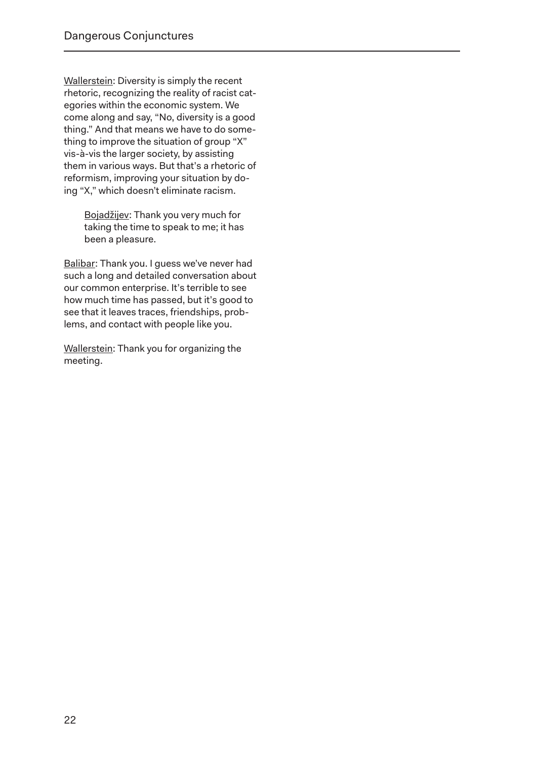Wallerstein: Diversity is simply the recent rhetoric, recognizing the reality of racist categories within the economic system. We come along and say, "No, diversity is a good thing." And that means we have to do something to improve the situation of group "X" vis-à-vis the larger society, by assisting them in various ways. But that's a rhetoric of reformism, improving your situation by doing "X," which doesn't eliminate racism.

> Bojadžijev: Thank you very much for taking the time to speak to me; it has been a pleasure.

Balibar: Thank you. I guess we've never had such a long and detailed conversation about our common enterprise. It's terrible to see how much time has passed, but it's good to see that it leaves traces, friendships, problems, and contact with people like you.

Wallerstein: Thank you for organizing the meeting.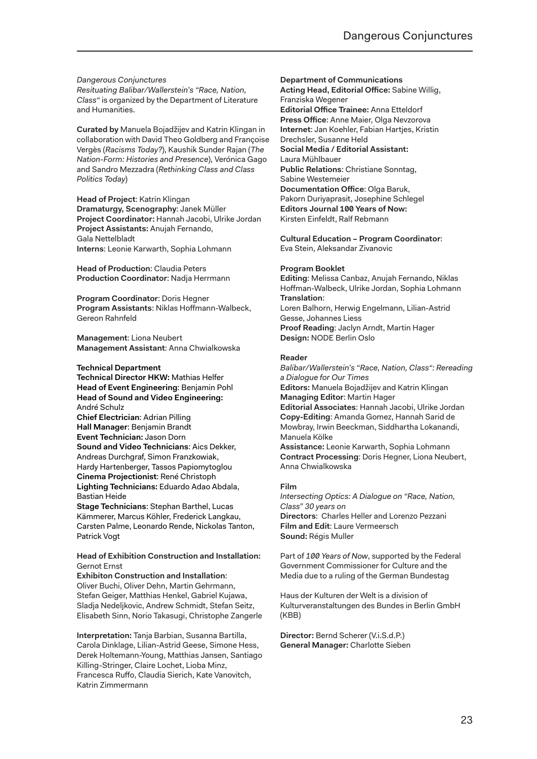*Dangerous Conjunctures Resituating Balibar/Wallerstein's "Race, Nation, Class"* is organized by the Department of Literature and Humanities.

**Curated by** Manuela Bojadžijev and Katrin Klingan in collaboration with David Theo Goldberg and Françoise Vergès (*Racisms Today?*), Kaushik Sunder Rajan (*The Nation-Form: Histories and Presence*), Verónica Gago and Sandro Mezzadra (*Rethinking Class and Class Politics Today*)

**Head of Project**: Katrin Klingan **Dramaturgy, Scenography**: Janek Müller **Project Coordinator:** Hannah Jacobi, Ulrike Jordan **Project Assistants:** Anujah Fernando, Gala Nettelbladt **Interns**: Leonie Karwarth, Sophia Lohmann

**Head of Production**: Claudia Peters **Production Coordinator**: Nadja Herrmann

**Program Coordinator**: Doris Hegner **Program Assistants**: Niklas Hoffmann-Walbeck, Gereon Rahnfeld

**Management**: Liona Neubert **Management Assistant**: Anna Chwialkowska

#### **Technical Department**

**Technical Director HKW:** Mathias Helfer **Head of Event Engineering**: Benjamin Pohl **Head of Sound and Video Engineering:** André Schulz **Chief Electrician**: Adrian Pilling **Hall Manager**: Benjamin Brandt **Event Technician:** Jason Dorn **Sound and Video Technicians**: Aics Dekker, Andreas Durchgraf, Simon Franzkowiak, Hardy Hartenberger, Tassos Papiomytoglou **Cinema Projectionist**: René Christoph **Lighting Technicians:** Eduardo Adao Abdala, Bastian Heide **Stage Technicians**: Stephan Barthel, Lucas

Kämmerer, Marcus Köhler, Frederick Langkau, Carsten Palme, Leonardo Rende, Nickolas Tanton, Patrick Vogt

#### **Head of Exhibition Construction and Installation:** Gernot Ernst

**Exhibiton Construction and Installation**: Oliver Buchi, Oliver Dehn, Martin Gehrmann, Stefan Geiger, Matthias Henkel, Gabriel Kujawa, Sladja Nedeljkovic, Andrew Schmidt, Stefan Seitz, Elisabeth Sinn, Norio Takasugi, Christophe Zangerle

**Interpretation:** Tanja Barbian, Susanna Bartilla, Carola Dinklage, Lilian-Astrid Geese, Simone Hess, Derek Holtemann-Young, Matthias Jansen, Santiago Killing-Stringer, Claire Lochet, Lioba Minz, Francesca Ruffo, Claudia Sierich, Kate Vanovitch, Katrin Zimmermann

#### **Department of Communications**

**Acting Head, Editorial Office:** Sabine Willig, Franziska Wegener **Editorial Office Trainee:** Anna Etteldorf **Press Office:** Anne Maier, Olga Nevzorova **Internet**: Jan Koehler, Fabian Hartjes, Kristin Drechsler, Susanne Held **Social Media / Editorial Assistant:** Laura Mühlbauer **Public Relations**: Christiane Sonntag, Sabine Westemeier **Documentation Office**: Olga Baruk, Pakorn Duriyaprasit, Josephine Schlegel **Editors Journal 100 Years of Now:**  Kirsten Einfeldt, Ralf Rebmann

**Cultural Education – Program Coordinator**: Eva Stein, Aleksandar Zivanovic

#### **Program Booklet**

**Editing**: Melissa Canbaz, Anujah Fernando, Niklas Hoffman-Walbeck, Ulrike Jordan, Sophia Lohmann **Translation**: Loren Balhorn, Herwig Engelmann, Lilian-Astrid Gesse, Johannes Liess **Proof Reading**: Jaclyn Arndt, Martin Hager **Design:** NODE Berlin Oslo

#### **Reader**

*Balibar/Wallerstein's "Race, Nation, Class": Rereading a Dialogue for Our Times*  **Editors:** Manuela Bojadžijev and Katrin Klingan **Managing Editor**: Martin Hager **Editorial Associates**: Hannah Jacobi, Ulrike Jordan **Copy-Editing**: Amanda Gomez, Hannah Sarid de Mowbray, Irwin Beeckman, Siddhartha Lokanandi, Manuela Kölke **Assistance:** Leonie Karwarth, Sophia Lohmann

**Contract Processing**: Doris Hegner, Liona Neubert, Anna Chwialkowska

#### **Film**

*Intersecting Optics: A Dialogue on "Race, Nation, Class" 30 years on* **Directors**: Charles Heller and Lorenzo Pezzani **Film and Edit**: Laure Vermeersch **Sound:** Régis Muller

Part of *100 Years of Now*, supported by the Federal Government Commissioner for Culture and the Media due to a ruling of the German Bundestag

Haus der Kulturen der Welt is a division of Kulturveranstaltungen des Bundes in Berlin GmbH (KBB)

**Director:** Bernd Scherer (V.i.S.d.P.) **General Manager:** Charlotte Sieben